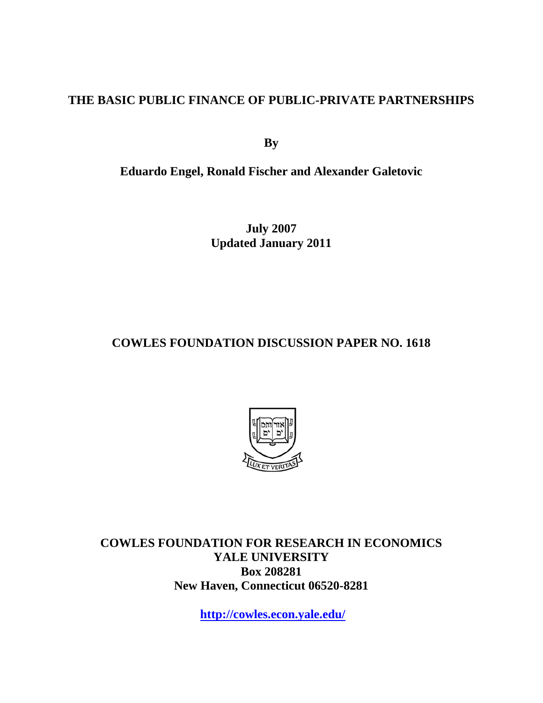# **THE BASIC PUBLIC FINANCE OF PUBLIC-PRIVATE PARTNERSHIPS**

**By** 

**Eduardo Engel, Ronald Fischer and Alexander Galetovic** 

**July 2007 Updated January 2011** 

# **COWLES FOUNDATION DISCUSSION PAPER NO. 1618**



**COWLES FOUNDATION FOR RESEARCH IN ECONOMICS YALE UNIVERSITY Box 208281 New Haven, Connecticut 06520-8281** 

**http://cowles.econ.yale.edu/**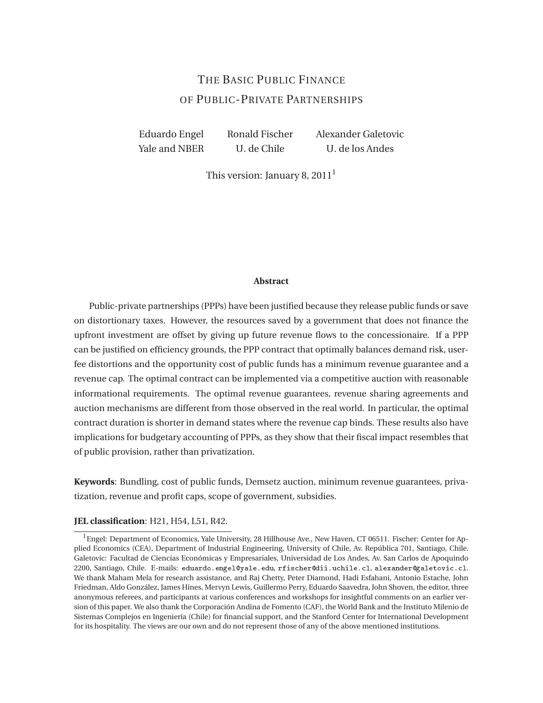# THE BASIC PUBLIC FINANCE OF PUBLIC-PRIVATE PARTNERSHIPS

Eduardo Engel Ronald Fischer Alexander Galetovic Yale and NBER U. de Chile U. de los Andes

This version: January 8,  $2011<sup>1</sup>$ 

#### **Abstract**

Public-private partnerships (PPPs) have been justified because they release public funds or save on distortionary taxes. However, the resources saved by a government that does not finance the upfront investment are offset by giving up future revenue flows to the concessionaire. If a PPP can be justified on efficiency grounds, the PPP contract that optimally balances demand risk, userfee distortions and the opportunity cost of public funds has a minimum revenue guarantee and a revenue cap. The optimal contract can be implemented via a competitive auction with reasonable informational requirements. The optimal revenue guarantees, revenue sharing agreements and auction mechanisms are different from those observed in the real world. In particular, the optimal contract duration is shorter in demand states where the revenue cap binds. These results also have implications for budgetary accounting of PPPs, as they show that their fiscal impact resembles that of public provision, rather than privatization.

**Keywords**: Bundling, cost of public funds, Demsetz auction, minimum revenue guarantees, privatization, revenue and profit caps, scope of government, subsidies.

#### **JEL classification**: H21, H54, L51, R42.

 $<sup>1</sup>$ Engel: Department of Economics, Yale University, 28 Hillhouse Ave., New Haven, CT 06511. Fischer: Center for Ap-</sup> plied Economics (CEA), Department of Industrial Engineering, University of Chile, Av. República 701, Santiago, Chile. Galetovic: Facultad de Ciencias Económicas y Empresariales, Universidad de Los Andes, Av. San Carlos de Apoquindo 2200, Santiago, Chile. E-mails: eduardo.engel@yale.edu, rfischer@dii.uchile.cl, alexander@galetovic.cl. We thank Maham Mela for research assistance, and Raj Chetty, Peter Diamond, Hadi Esfahani, Antonio Estache, John Friedman, Aldo González, James Hines, Mervyn Lewis, Guillermo Perry, Eduardo Saavedra, John Shoven, the editor, three anonymous referees, and participants at various conferences and workshops for insightful comments on an earlier version of this paper. We also thank the Corporación Andina de Fomento (CAF), the World Bank and the Instituto Milenio de Sistemas Complejos en Ingeniería (Chile) for financial support, and the Stanford Center for International Development for its hospitality. The views are our own and do not represent those of any of the above mentioned institutions.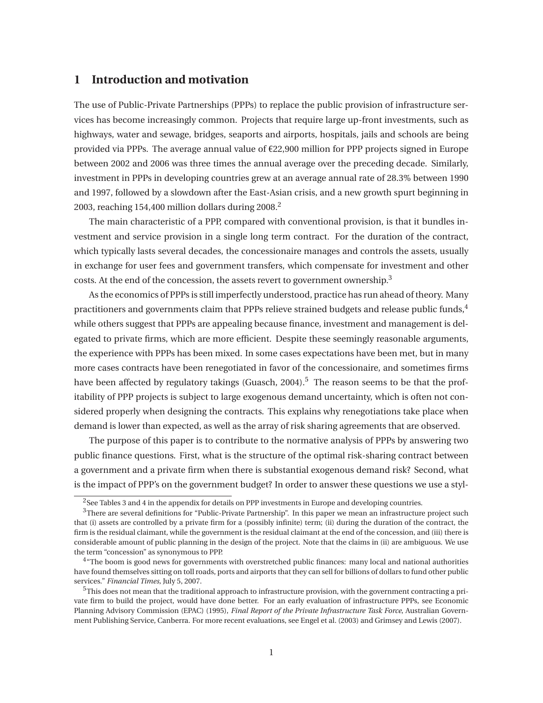## **1 Introduction and motivation**

The use of Public-Private Partnerships (PPPs) to replace the public provision of infrastructure services has become increasingly common. Projects that require large up-front investments, such as highways, water and sewage, bridges, seaports and airports, hospitals, jails and schools are being provided via PPPs. The average annual value of €22,900 million for PPP projects signed in Europe between 2002 and 2006 was three times the annual average over the preceding decade. Similarly, investment in PPPs in developing countries grew at an average annual rate of 28.3% between 1990 and 1997, followed by a slowdown after the East-Asian crisis, and a new growth spurt beginning in 2003, reaching 154,400 million dollars during  $2008<sup>2</sup>$ .

The main characteristic of a PPP, compared with conventional provision, is that it bundles investment and service provision in a single long term contract. For the duration of the contract, which typically lasts several decades, the concessionaire manages and controls the assets, usually in exchange for user fees and government transfers, which compensate for investment and other costs. At the end of the concession, the assets revert to government ownership.<sup>3</sup>

As the economics of PPPs is still imperfectly understood, practice has run ahead of theory. Many practitioners and governments claim that PPPs relieve strained budgets and release public funds, $4\sigma$ while others suggest that PPPs are appealing because finance, investment and management is delegated to private firms, which are more efficient. Despite these seemingly reasonable arguments, the experience with PPPs has been mixed. In some cases expectations have been met, but in many more cases contracts have been renegotiated in favor of the concessionaire, and sometimes firms have been affected by regulatory takings (Guasch, 2004).<sup>5</sup> The reason seems to be that the profitability of PPP projects is subject to large exogenous demand uncertainty, which is often not considered properly when designing the contracts. This explains why renegotiations take place when demand is lower than expected, as well as the array of risk sharing agreements that are observed.

The purpose of this paper is to contribute to the normative analysis of PPPs by answering two public finance questions. First, what is the structure of the optimal risk-sharing contract between a government and a private firm when there is substantial exogenous demand risk? Second, what is the impact of PPP's on the government budget? In order to answer these questions we use a styl-

<sup>&</sup>lt;sup>2</sup>See Tables 3 and 4 in the appendix for details on PPP investments in Europe and developing countries.

<sup>&</sup>lt;sup>3</sup>There are several definitions for "Public-Private Partnership". In this paper we mean an infrastructure project such that (i) assets are controlled by a private firm for a (possibly infinite) term; (ii) during the duration of the contract, the firm is the residual claimant, while the government is the residual claimant at the end of the concession, and (iii) there is considerable amount of public planning in the design of the project. Note that the claims in (ii) are ambiguous. We use the term "concession" as synonymous to PPP.

 $4$ "The boom is good news for governments with overstretched public finances: many local and national authorities have found themselves sitting on toll roads, ports and airports that they can sell for billions of dollars to fund other public services." *Financial Times,* July 5, 2007.

<sup>5</sup>This does not mean that the traditional approach to infrastructure provision, with the government contracting a private firm to build the project, would have done better. For an early evaluation of infrastructure PPPs, see Economic Planning Advisory Commission (EPAC) (1995), *Final Report of the Private Infrastructure Task Force*, Australian Government Publishing Service, Canberra. For more recent evaluations, see Engel et al. (2003) and Grimsey and Lewis (2007).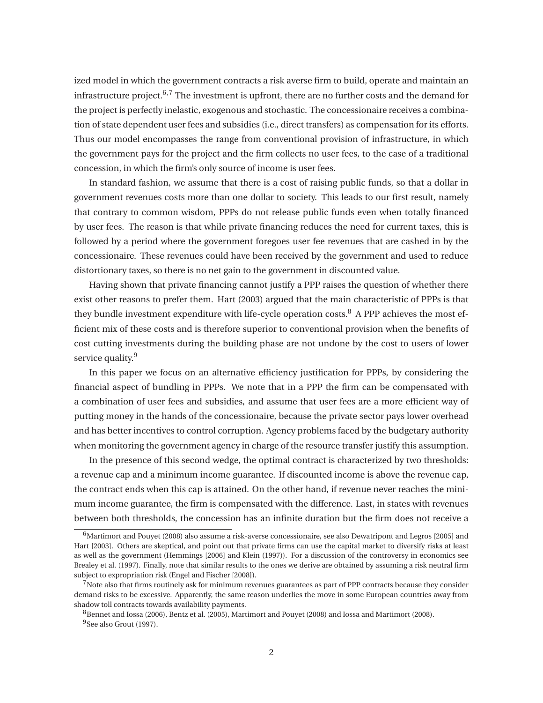ized model in which the government contracts a risk averse firm to build, operate and maintain an infrastructure project. $6,7$  The investment is upfront, there are no further costs and the demand for the project is perfectly inelastic, exogenous and stochastic. The concessionaire receives a combination of state dependent user fees and subsidies (i.e., direct transfers) as compensation for its efforts. Thus our model encompasses the range from conventional provision of infrastructure, in which the government pays for the project and the firm collects no user fees, to the case of a traditional concession, in which the firm's only source of income is user fees.

In standard fashion, we assume that there is a cost of raising public funds, so that a dollar in government revenues costs more than one dollar to society. This leads to our first result, namely that contrary to common wisdom, PPPs do not release public funds even when totally financed by user fees. The reason is that while private financing reduces the need for current taxes, this is followed by a period where the government foregoes user fee revenues that are cashed in by the concessionaire. These revenues could have been received by the government and used to reduce distortionary taxes, so there is no net gain to the government in discounted value.

Having shown that private financing cannot justify a PPP raises the question of whether there exist other reasons to prefer them. Hart (2003) argued that the main characteristic of PPPs is that they bundle investment expenditure with life-cycle operation costs.<sup>8</sup> A PPP achieves the most efficient mix of these costs and is therefore superior to conventional provision when the benefits of cost cutting investments during the building phase are not undone by the cost to users of lower service quality.<sup>9</sup>

In this paper we focus on an alternative efficiency justification for PPPs, by considering the financial aspect of bundling in PPPs. We note that in a PPP the firm can be compensated with a combination of user fees and subsidies, and assume that user fees are a more efficient way of putting money in the hands of the concessionaire, because the private sector pays lower overhead and has better incentives to control corruption. Agency problems faced by the budgetary authority when monitoring the government agency in charge of the resource transfer justify this assumption.

In the presence of this second wedge, the optimal contract is characterized by two thresholds: a revenue cap and a minimum income guarantee. If discounted income is above the revenue cap, the contract ends when this cap is attained. On the other hand, if revenue never reaches the minimum income guarantee, the firm is compensated with the difference. Last, in states with revenues between both thresholds, the concession has an infinite duration but the firm does not receive a

<sup>6</sup>Martimort and Pouyet (2008) also assume a risk-averse concessionaire, see also Dewatripont and Legros [2005] and Hart [2003]. Others are skeptical, and point out that private firms can use the capital market to diversify risks at least as well as the government (Hemmings [2006] and Klein (1997)). For a discussion of the controversy in economics see Brealey et al. (1997). Finally, note that similar results to the ones we derive are obtained by assuming a risk neutral firm subject to expropriation risk (Engel and Fischer [2008]).

 $7$ Note also that firms routinely ask for minimum revenues guarantees as part of PPP contracts because they consider demand risks to be excessive. Apparently, the same reason underlies the move in some European countries away from shadow toll contracts towards availability payments.

 $8$ Bennet and Iossa (2006), Bentz et al. (2005), Martimort and Pouyet (2008) and Iossa and Martimort (2008). <sup>9</sup>See also Grout (1997).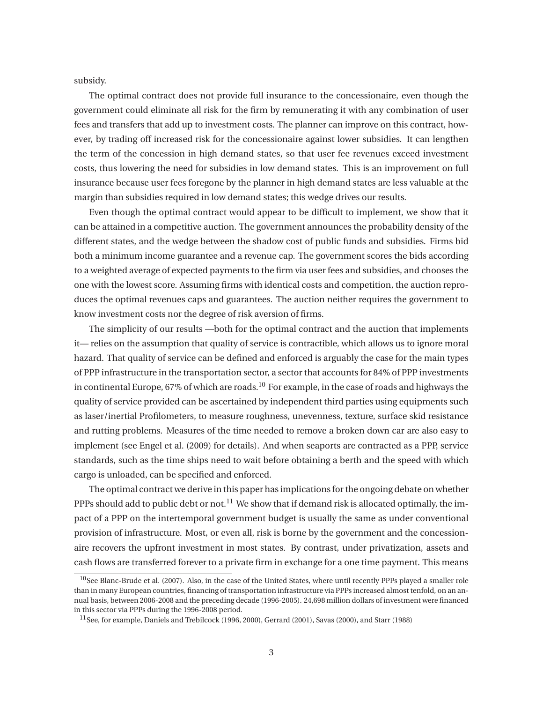subsidy.

The optimal contract does not provide full insurance to the concessionaire, even though the government could eliminate all risk for the firm by remunerating it with any combination of user fees and transfers that add up to investment costs. The planner can improve on this contract, however, by trading off increased risk for the concessionaire against lower subsidies. It can lengthen the term of the concession in high demand states, so that user fee revenues exceed investment costs, thus lowering the need for subsidies in low demand states. This is an improvement on full insurance because user fees foregone by the planner in high demand states are less valuable at the margin than subsidies required in low demand states; this wedge drives our results.

Even though the optimal contract would appear to be difficult to implement, we show that it can be attained in a competitive auction. The government announces the probability density of the different states, and the wedge between the shadow cost of public funds and subsidies. Firms bid both a minimum income guarantee and a revenue cap. The government scores the bids according to a weighted average of expected payments to the firm via user fees and subsidies, and chooses the one with the lowest score. Assuming firms with identical costs and competition, the auction reproduces the optimal revenues caps and guarantees. The auction neither requires the government to know investment costs nor the degree of risk aversion of firms.

The simplicity of our results —both for the optimal contract and the auction that implements it— relies on the assumption that quality of service is contractible, which allows us to ignore moral hazard. That quality of service can be defined and enforced is arguably the case for the main types of PPP infrastructure in the transportation sector, a sector that accounts for 84% of PPP investments in continental Europe, 67% of which are roads.<sup>10</sup> For example, in the case of roads and highways the quality of service provided can be ascertained by independent third parties using equipments such as laser/inertial Profilometers, to measure roughness, unevenness, texture, surface skid resistance and rutting problems. Measures of the time needed to remove a broken down car are also easy to implement (see Engel et al. (2009) for details). And when seaports are contracted as a PPP, service standards, such as the time ships need to wait before obtaining a berth and the speed with which cargo is unloaded, can be specified and enforced.

The optimal contract we derive in this paper has implications for the ongoing debate on whether PPPs should add to public debt or not.<sup>11</sup> We show that if demand risk is allocated optimally, the impact of a PPP on the intertemporal government budget is usually the same as under conventional provision of infrastructure. Most, or even all, risk is borne by the government and the concessionaire recovers the upfront investment in most states. By contrast, under privatization, assets and cash flows are transferred forever to a private firm in exchange for a one time payment. This means

<sup>&</sup>lt;sup>10</sup>See Blanc-Brude et al. (2007). Also, in the case of the United States, where until recently PPPs played a smaller role than in many European countries, financing of transportation infrastructure via PPPs increased almost tenfold, on an annual basis, between 2006-2008 and the preceding decade (1996-2005). 24,698 million dollars of investment were financed in this sector via PPPs during the 1996-2008 period.

<sup>11</sup>See, for example, Daniels and Trebilcock (1996, 2000), Gerrard (2001), Savas (2000), and Starr (1988)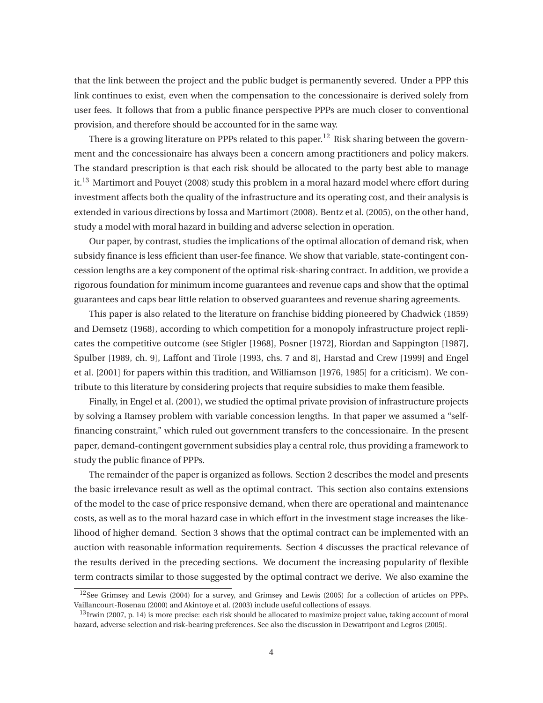that the link between the project and the public budget is permanently severed. Under a PPP this link continues to exist, even when the compensation to the concessionaire is derived solely from user fees. It follows that from a public finance perspective PPPs are much closer to conventional provision, and therefore should be accounted for in the same way.

There is a growing literature on PPPs related to this paper.<sup>12</sup> Risk sharing between the government and the concessionaire has always been a concern among practitioners and policy makers. The standard prescription is that each risk should be allocated to the party best able to manage it.<sup>13</sup> Martimort and Pouyet (2008) study this problem in a moral hazard model where effort during investment affects both the quality of the infrastructure and its operating cost, and their analysis is extended in various directions by Iossa and Martimort (2008). Bentz et al. (2005), on the other hand, study a model with moral hazard in building and adverse selection in operation.

Our paper, by contrast, studies the implications of the optimal allocation of demand risk, when subsidy finance is less efficient than user-fee finance. We show that variable, state-contingent concession lengths are a key component of the optimal risk-sharing contract. In addition, we provide a rigorous foundation for minimum income guarantees and revenue caps and show that the optimal guarantees and caps bear little relation to observed guarantees and revenue sharing agreements.

This paper is also related to the literature on franchise bidding pioneered by Chadwick (1859) and Demsetz (1968), according to which competition for a monopoly infrastructure project replicates the competitive outcome (see Stigler [1968], Posner [1972], Riordan and Sappington [1987], Spulber [1989, ch. 9], Laffont and Tirole [1993, chs. 7 and 8], Harstad and Crew [1999] and Engel et al. [2001] for papers within this tradition, and Williamson [1976, 1985] for a criticism). We contribute to this literature by considering projects that require subsidies to make them feasible.

Finally, in Engel et al. (2001), we studied the optimal private provision of infrastructure projects by solving a Ramsey problem with variable concession lengths. In that paper we assumed a "selffinancing constraint," which ruled out government transfers to the concessionaire. In the present paper, demand-contingent government subsidies play a central role, thus providing a framework to study the public finance of PPPs.

The remainder of the paper is organized as follows. Section 2 describes the model and presents the basic irrelevance result as well as the optimal contract. This section also contains extensions of the model to the case of price responsive demand, when there are operational and maintenance costs, as well as to the moral hazard case in which effort in the investment stage increases the likelihood of higher demand. Section 3 shows that the optimal contract can be implemented with an auction with reasonable information requirements. Section 4 discusses the practical relevance of the results derived in the preceding sections. We document the increasing popularity of flexible term contracts similar to those suggested by the optimal contract we derive. We also examine the

<sup>12</sup>See Grimsey and Lewis (2004) for a survey, and Grimsey and Lewis (2005) for a collection of articles on PPPs. Vaillancourt-Rosenau (2000) and Akintoye et al. (2003) include useful collections of essays.

 $13$ Irwin (2007, p. 14) is more precise: each risk should be allocated to maximize project value, taking account of moral hazard, adverse selection and risk-bearing preferences. See also the discussion in Dewatripont and Legros (2005).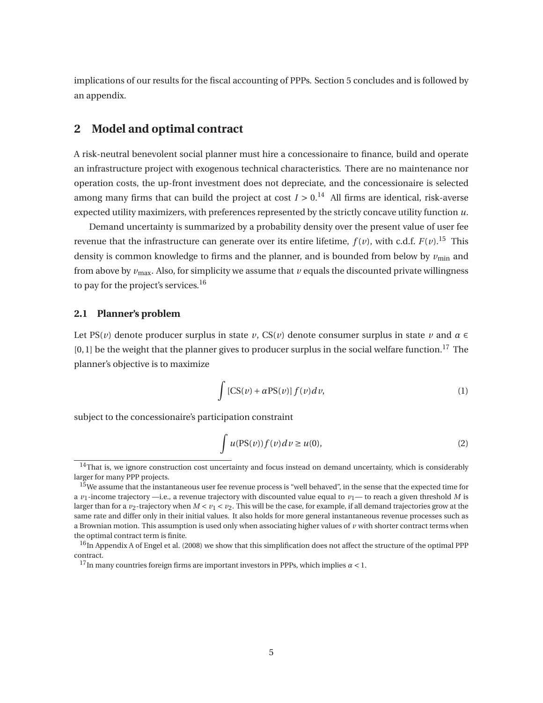implications of our results for the fiscal accounting of PPPs. Section 5 concludes and is followed by an appendix.

## **2 Model and optimal contract**

A risk-neutral benevolent social planner must hire a concessionaire to finance, build and operate an infrastructure project with exogenous technical characteristics. There are no maintenance nor operation costs, the up-front investment does not depreciate, and the concessionaire is selected among many firms that can build the project at cost  $I > 0.14$  All firms are identical, risk-averse expected utility maximizers, with preferences represented by the strictly concave utility function *u*.

Demand uncertainty is summarized by a probability density over the present value of user fee revenue that the infrastructure can generate over its entire lifetime,  $f(v)$ , with c.d.f.  $F(v)$ .<sup>15</sup> This density is common knowledge to firms and the planner, and is bounded from below by  $v_{\text{min}}$  and from above by  $v_{\text{max}}$ . Also, for simplicity we assume that  $v$  equals the discounted private willingness to pay for the project's services.<sup>16</sup>

## **2.1 Planner's problem**

Let PS(*v*) denote producer surplus in state *v*, CS(*v*) denote consumer surplus in state *v* and  $\alpha \in \mathbb{R}$  $[0, 1]$  be the weight that the planner gives to producer surplus in the social welfare function.<sup>17</sup> The planner's objective is to maximize

$$
\int \left[CS(\nu) + \alpha PS(\nu)\right] f(\nu) d\nu,
$$
\n(1)

subject to the concessionaire's participation constraint

$$
\int u(\text{PS}(v))f(v)dv \ge u(0),\tag{2}
$$

 $14$ That is, we ignore construction cost uncertainty and focus instead on demand uncertainty, which is considerably larger for many PPP projects.

<sup>&</sup>lt;sup>15</sup>We assume that the instantaneous user fee revenue process is "well behaved", in the sense that the expected time for a  $v_1$ -income trajectory —i.e., a revenue trajectory with discounted value equal to  $v_1$ — to reach a given threshold M is larger than for a  $\nu_2$ -trajectory when  $M < \nu_1 < \nu_2$ . This will be the case, for example, if all demand trajectories grow at the same rate and differ only in their initial values. It also holds for more general instantaneous revenue processes such as a Brownian motion. This assumption is used only when associating higher values of  $\nu$  with shorter contract terms when the optimal contract term is finite.

 $16$ In Appendix A of Engel et al. (2008) we show that this simplification does not affect the structure of the optimal PPP contract.

<sup>&</sup>lt;sup>17</sup>In many countries foreign firms are important investors in PPPs, which implies  $\alpha$  < 1.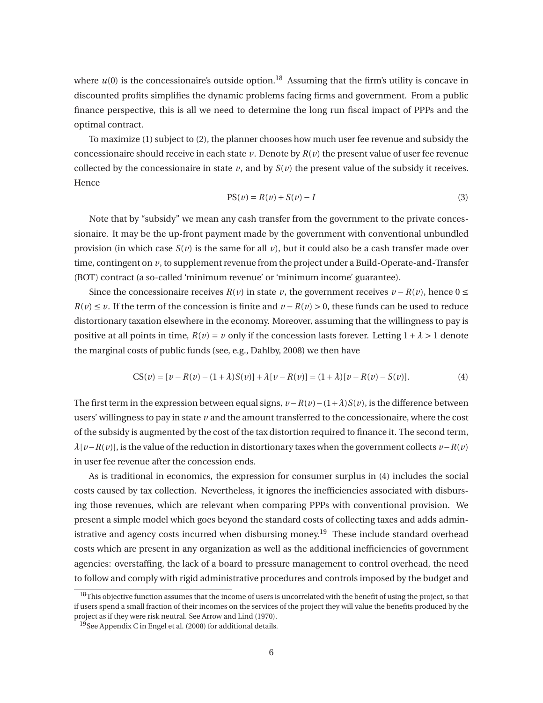where  $u(0)$  is the concessionaire's outside option.<sup>18</sup> Assuming that the firm's utility is concave in discounted profits simplifies the dynamic problems facing firms and government. From a public finance perspective, this is all we need to determine the long run fiscal impact of PPPs and the optimal contract.

To maximize (1) subject to (2), the planner chooses how much user fee revenue and subsidy the concessionaire should receive in each state  $\nu$ . Denote by  $R(\nu)$  the present value of user fee revenue collected by the concessionaire in state  $\nu$ , and by  $S(\nu)$  the present value of the subsidy it receives. Hence

$$
PS(v) = R(v) + S(v) - I
$$
 (3)

Note that by "subsidy" we mean any cash transfer from the government to the private concessionaire. It may be the up-front payment made by the government with conventional unbundled provision (in which case  $S(v)$  is the same for all  $v$ ), but it could also be a cash transfer made over time, contingent on *v*, to supplement revenue from the project under a Build-Operate-and-Transfer (BOT) contract (a so-called 'minimum revenue' or 'minimum income' guarantee).

Since the concessionaire receives  $R(v)$  in state *v*, the government receives  $v - R(v)$ , hence  $0 \le$ *R*(*v*) ≤ *v*. If the term of the concession is finite and *v* − *R*(*v*) > 0, these funds can be used to reduce distortionary taxation elsewhere in the economy. Moreover, assuming that the willingness to pay is positive at all points in time,  $R(v) = v$  only if the concession lasts forever. Letting  $1 + \lambda > 1$  denote the marginal costs of public funds (see, e.g., Dahlby, 2008) we then have

$$
CS(\nu) = [\nu - R(\nu) - (1 + \lambda)S(\nu)] + \lambda[\nu - R(\nu)] = (1 + \lambda)[\nu - R(\nu) - S(\nu)].
$$
\n(4)

The first term in the expression between equal signs,  $v - R(v) - (1 + \lambda)S(v)$ , is the difference between users' willingness to pay in state *v* and the amount transferred to the concessionaire, where the cost of the subsidy is augmented by the cost of the tax distortion required to finance it. The second term,  $\lambda[v-R(v)]$ , is the value of the reduction in distortionary taxes when the government collects  $v-R(v)$ in user fee revenue after the concession ends.

As is traditional in economics, the expression for consumer surplus in (4) includes the social costs caused by tax collection. Nevertheless, it ignores the inefficiencies associated with disbursing those revenues, which are relevant when comparing PPPs with conventional provision. We present a simple model which goes beyond the standard costs of collecting taxes and adds administrative and agency costs incurred when disbursing money.<sup>19</sup> These include standard overhead costs which are present in any organization as well as the additional inefficiencies of government agencies: overstaffing, the lack of a board to pressure management to control overhead, the need to follow and comply with rigid administrative procedures and controls imposed by the budget and

 $18$ This objective function assumes that the income of users is uncorrelated with the benefit of using the project, so that if users spend a small fraction of their incomes on the services of the project they will value the benefits produced by the project as if they were risk neutral. See Arrow and Lind (1970).

<sup>&</sup>lt;sup>19</sup>See Appendix C in Engel et al. (2008) for additional details.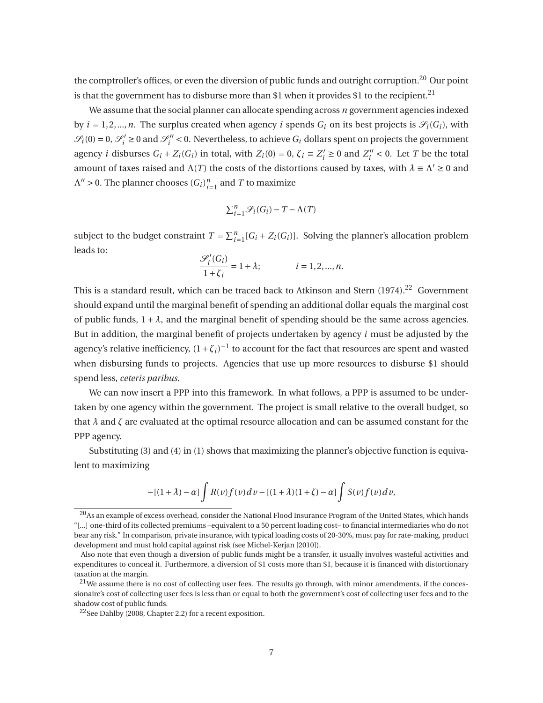the comptroller's offices, or even the diversion of public funds and outright corruption.<sup>20</sup> Our point is that the government has to disburse more than \$1 when it provides \$1 to the recipient.<sup>21</sup>

We assume that the social planner can allocate spending across *n* government agencies indexed by  $i = 1, 2, ..., n$ . The surplus created when agency *i* spends  $G_i$  on its best projects is  $\mathcal{S}_i(G_i)$ , with  $\mathscr{S}_i(0) = 0$ ,  $\mathscr{S}'_i \ge 0$  and  $\mathscr{S}''_i < 0$ . Nevertheless, to achieve  $G_i$  dollars spent on projects the government agency *i* disburses  $G_i + Z_i(G_i)$  in total, with  $Z_i(0) = 0$ ,  $\zeta_i \equiv Z'_i \geq 0$  and  $Z''_i < 0$ . Let *T* be the total amount of taxes raised and  $\Lambda(T)$  the costs of the distortions caused by taxes, with  $\lambda \equiv \Lambda' \ge 0$  and  $\Lambda'' > 0$ . The planner chooses  $(G_i)_{i=1}^n$  and *T* to maximize

$$
\sum_{i=1}^{n} \mathcal{S}_i(G_i) - T - \Lambda(T)
$$

subject to the budget constraint  $T = \sum_{i=1}^{n} [G_i + Z_i(G_i)]$ . Solving the planner's allocation problem leads to:

$$
\frac{\mathcal{S}'_i(G_i)}{1 + \zeta_i} = 1 + \lambda; \qquad i = 1, 2, ..., n.
$$

This is a standard result, which can be traced back to Atkinson and Stern  $(1974).^{22}$  Government should expand until the marginal benefit of spending an additional dollar equals the marginal cost of public funds,  $1 + \lambda$ , and the marginal benefit of spending should be the same across agencies. But in addition, the marginal benefit of projects undertaken by agency *i* must be adjusted by the agency's relative inefficiency,  $(1 + \zeta_i)^{-1}$  to account for the fact that resources are spent and wasted when disbursing funds to projects. Agencies that use up more resources to disburse \$1 should spend less, *ceteris paribus*.

We can now insert a PPP into this framework. In what follows, a PPP is assumed to be undertaken by one agency within the government. The project is small relative to the overall budget, so that *λ* and *ζ* are evaluated at the optimal resource allocation and can be assumed constant for the PPP agency.

Substituting (3) and (4) in (1) shows that maximizing the planner's objective function is equivalent to maximizing

$$
-[(1+\lambda)-\alpha]\int R(v)f(v)dv - [(1+\lambda)(1+\zeta)-\alpha]\int S(v)f(v)dv,
$$

<sup>&</sup>lt;sup>20</sup>As an example of excess overhead, consider the National Flood Insurance Program of the United States, which hands "[...] one-third of its collected premiums –equivalent to a 50 percent loading cost– to financial intermediaries who do not bear any risk." In comparison, private insurance, with typical loading costs of 20-30%, must pay for rate-making, product development and must hold capital against risk (see Michel-Kerjan [2010]).

Also note that even though a diversion of public funds might be a transfer, it usually involves wasteful activities and expenditures to conceal it. Furthermore, a diversion of \$1 costs more than \$1, because it is financed with distortionary taxation at the margin.

 $21$ We assume there is no cost of collecting user fees. The results go through, with minor amendments, if the concessionaire's cost of collecting user fees is less than or equal to both the government's cost of collecting user fees and to the shadow cost of public funds.

<sup>&</sup>lt;sup>22</sup>See Dahlby (2008, Chapter 2.2) for a recent exposition.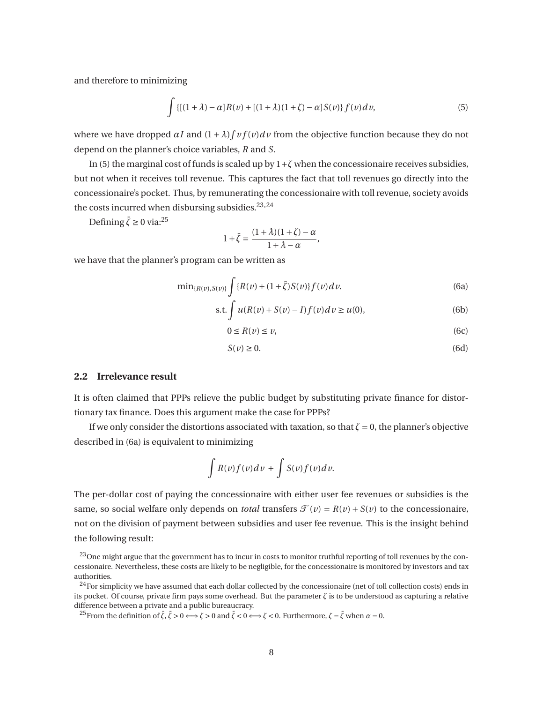and therefore to minimizing

$$
\int \left\{ [(1+\lambda) - \alpha] R(\nu) + [(1+\lambda)(1+\zeta) - \alpha] S(\nu) \right\} f(\nu) d\nu,
$$
\n(5)

where we have dropped  $\alpha I$  and  $(1 + \lambda) \int v f(v) dv$  from the objective function because they do not depend on the planner's choice variables, *R* and *S*.

In (5) the marginal cost of funds is scaled up by  $1+\zeta$  when the concessionaire receives subsidies, but not when it receives toll revenue. This captures the fact that toll revenues go directly into the concessionaire's pocket. Thus, by remunerating the concessionaire with toll revenue, society avoids the costs incurred when disbursing subsidies. $23,24$ 

Defining  $\bar{\zeta} \ge 0$  via:<sup>25</sup>

$$
1+\bar{\zeta}=\frac{(1+\lambda)(1+\zeta)-\alpha}{1+\lambda-\alpha},
$$

we have that the planner's program can be written as

$$
\min_{\{R(v), S(v)\}} \int \{R(v) + (1 + \bar{\zeta})S(v)\} f(v) dv.
$$
\n(6a)

s.t. 
$$
\int u(R(v) + S(v) - I) f(v) dv \ge u(0)
$$
, (6b)

$$
0 \le R(\nu) \le \nu,\tag{6c}
$$

$$
S(\nu) \ge 0. \tag{6d}
$$

## **2.2 Irrelevance result**

It is often claimed that PPPs relieve the public budget by substituting private finance for distortionary tax finance. Does this argument make the case for PPPs?

If we only consider the distortions associated with taxation, so that  $\zeta = 0$ , the planner's objective described in (6a) is equivalent to minimizing

$$
\int R(v)f(v)dv + \int S(v)f(v)dv.
$$

The per-dollar cost of paying the concessionaire with either user fee revenues or subsidies is the same, so social welfare only depends on *total* transfers  $\mathcal{T}(v) = R(v) + S(v)$  to the concessionaire, not on the division of payment between subsidies and user fee revenue. This is the insight behind the following result:

<sup>&</sup>lt;sup>23</sup>One might argue that the government has to incur in costs to monitor truthful reporting of toll revenues by the concessionaire. Nevertheless, these costs are likely to be negligible, for the concessionaire is monitored by investors and tax authorities.

 $24$  For simplicity we have assumed that each dollar collected by the concessionaire (net of toll collection costs) ends in its pocket. Of course, private firm pays some overhead. But the parameter *ζ* is to be understood as capturing a relative difference between a private and a public bureaucracy.

<sup>&</sup>lt;sup>25</sup>From the definition of  $\bar{\zeta}$ ,  $\bar{\zeta}$  > 0 ⇔  $\zeta$  > 0 and  $\bar{\zeta}$  < 0 ⇔  $\zeta$  < 0. Furthermore,  $\zeta = \bar{\zeta}$  when *α* = 0.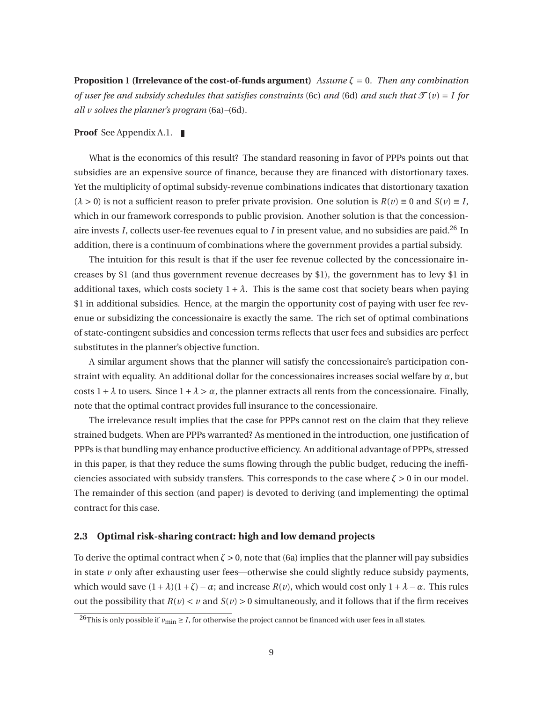**Proposition 1 (Irrelevance of the cost-of-funds argument)** *Assume*  $\zeta = 0$ *. Then any combination of user fee and subsidy schedules that satisfies constraints* (6c) *and* (6d) *and such that*  $\mathcal{T}(v) = I$  *for all v solves the planner's program* (6a)*–*(6d)*.*

### **Proof** See Appendix A.1.

What is the economics of this result? The standard reasoning in favor of PPPs points out that subsidies are an expensive source of finance, because they are financed with distortionary taxes. Yet the multiplicity of optimal subsidy-revenue combinations indicates that distortionary taxation  $(\lambda > 0)$  is not a sufficient reason to prefer private provision. One solution is  $R(v) \equiv 0$  and  $S(v) \equiv I$ , which in our framework corresponds to public provision. Another solution is that the concessionaire invests *I*, collects user-fee revenues equal to *I* in present value, and no subsidies are paid.<sup>26</sup> In addition, there is a continuum of combinations where the government provides a partial subsidy.

The intuition for this result is that if the user fee revenue collected by the concessionaire increases by \$1 (and thus government revenue decreases by \$1), the government has to levy \$1 in additional taxes, which costs society  $1 + \lambda$ . This is the same cost that society bears when paying \$1 in additional subsidies. Hence, at the margin the opportunity cost of paying with user fee revenue or subsidizing the concessionaire is exactly the same. The rich set of optimal combinations of state-contingent subsidies and concession terms reflects that user fees and subsidies are perfect substitutes in the planner's objective function.

A similar argument shows that the planner will satisfy the concessionaire's participation constraint with equality. An additional dollar for the concessionaires increases social welfare by  $\alpha$ , but costs  $1 + \lambda$  to users. Since  $1 + \lambda > \alpha$ , the planner extracts all rents from the concessionaire. Finally, note that the optimal contract provides full insurance to the concessionaire.

The irrelevance result implies that the case for PPPs cannot rest on the claim that they relieve strained budgets. When are PPPs warranted? As mentioned in the introduction, one justification of PPPs is that bundling may enhance productive efficiency. An additional advantage of PPPs, stressed in this paper, is that they reduce the sums flowing through the public budget, reducing the inefficiencies associated with subsidy transfers. This corresponds to the case where  $\zeta > 0$  in our model. The remainder of this section (and paper) is devoted to deriving (and implementing) the optimal contract for this case.

## **2.3 Optimal risk-sharing contract: high and low demand projects**

To derive the optimal contract when  $\zeta > 0$ , note that (6a) implies that the planner will pay subsidies in state  $\nu$  only after exhausting user fees—otherwise she could slightly reduce subsidy payments, which would save  $(1 + \lambda)(1 + \zeta) - \alpha$ ; and increase  $R(v)$ , which would cost only  $1 + \lambda - \alpha$ . This rules out the possibility that  $R(v) < v$  and  $S(v) > 0$  simultaneously, and it follows that if the firm receives

<sup>&</sup>lt;sup>26</sup>This is only possible if  $v_{\text{min}} \geq I$ , for otherwise the project cannot be financed with user fees in all states.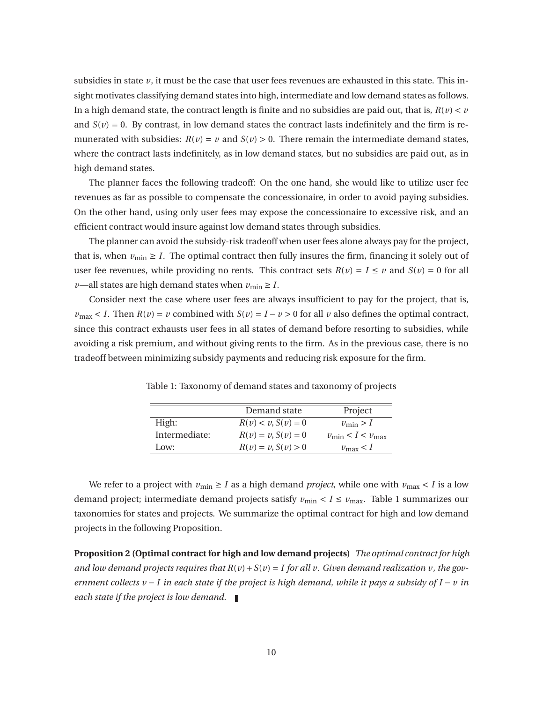subsidies in state  $\nu$ , it must be the case that user fees revenues are exhausted in this state. This insight motivates classifying demand states into high, intermediate and low demand states as follows. In a high demand state, the contract length is finite and no subsidies are paid out, that is,  $R(v) < v$ and  $S(v) = 0$ . By contrast, in low demand states the contract lasts indefinitely and the firm is remunerated with subsidies:  $R(v) = v$  and  $S(v) > 0$ . There remain the intermediate demand states, where the contract lasts indefinitely, as in low demand states, but no subsidies are paid out, as in high demand states.

The planner faces the following tradeoff: On the one hand, she would like to utilize user fee revenues as far as possible to compensate the concessionaire, in order to avoid paying subsidies. On the other hand, using only user fees may expose the concessionaire to excessive risk, and an efficient contract would insure against low demand states through subsidies.

The planner can avoid the subsidy-risk tradeoff when user fees alone always pay for the project, that is, when  $v_{\text{min}} \geq I$ . The optimal contract then fully insures the firm, financing it solely out of user fee revenues, while providing no rents. This contract sets  $R(v) = I \le v$  and  $S(v) = 0$  for all *v*—all states are high demand states when  $v_{\text{min}} \geq I$ .

Consider next the case where user fees are always insufficient to pay for the project, that is,  $v_{\text{max}} < I$ . Then  $R(v) = v$  combined with  $S(v) = I - v > 0$  for all *v* also defines the optimal contract, since this contract exhausts user fees in all states of demand before resorting to subsidies, while avoiding a risk premium, and without giving rents to the firm. As in the previous case, there is no tradeoff between minimizing subsidy payments and reducing risk exposure for the firm.

|               | Demand state         | Project                         |
|---------------|----------------------|---------------------------------|
| High:         | $R(v) < v, S(v) = 0$ | $v_{\rm min} > 1$               |
| Intermediate: | $R(v) = v, S(v) = 0$ | $v_{\rm min} < I < v_{\rm max}$ |
| Low:          | $R(v) = v, S(v) > 0$ | $v_{\text{max}} < 1$            |

Table 1: Taxonomy of demand states and taxonomy of projects

We refer to a project with  $v_{\text{min}} \geq I$  as a high demand *project*, while one with  $v_{\text{max}} < I$  is a low demand project; intermediate demand projects satisfy  $v_{\text{min}} < I \le v_{\text{max}}$ . Table 1 summarizes our taxonomies for states and projects. We summarize the optimal contract for high and low demand projects in the following Proposition.

**Proposition 2 (Optimal contract for high and low demand projects)** *The optimal contract for high* and low demand projects requires that  $R(v) + S(v) = I$  for all v. Given demand realization v, the gov*ernment collects v* − *I in each state if the project is high demand, while it pays a subsidy of I − v in each state if the project is low demand.*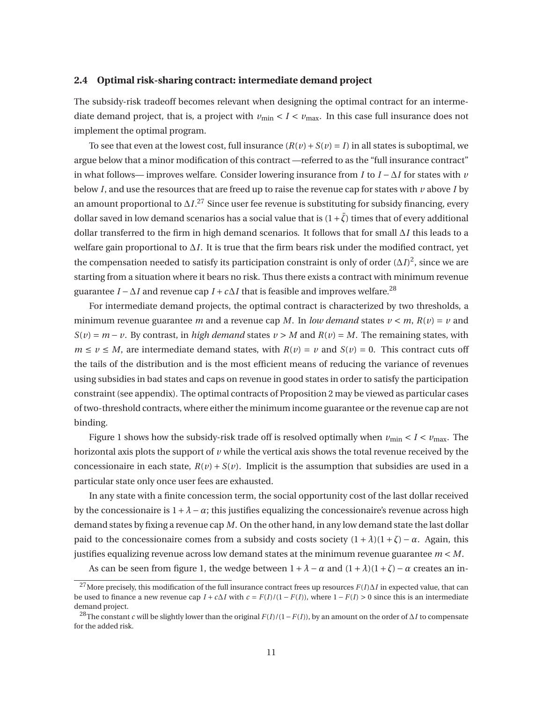#### **2.4 Optimal risk-sharing contract: intermediate demand project**

The subsidy-risk tradeoff becomes relevant when designing the optimal contract for an intermediate demand project, that is, a project with  $v_{\text{min}} < I < v_{\text{max}}$ . In this case full insurance does not implement the optimal program.

To see that even at the lowest cost, full insurance  $(R(v) + S(v) = I)$  in all states is suboptimal, we argue below that a minor modification of this contract —referred to as the "full insurance contract" in what follows— improves welfare. Consider lowering insurance from *I* to  $I - \Delta I$  for states with  $\nu$ below *I*, and use the resources that are freed up to raise the revenue cap for states with *v* above *I* by an amount proportional to Δ*I*. <sup>27</sup> Since user fee revenue is substituting for subsidy financing, every dollar saved in low demand scenarios has a social value that is  $(1 + \bar{\zeta})$  times that of every additional dollar transferred to the firm in high demand scenarios. It follows that for small Δ*I* this leads to a welfare gain proportional to Δ*I*. It is true that the firm bears risk under the modified contract, yet the compensation needed to satisfy its participation constraint is only of order  $(\Delta I)^2$ , since we are starting from a situation where it bears no risk. Thus there exists a contract with minimum revenue guarantee  $I - \Delta I$  and revenue cap  $I + c\Delta I$  that is feasible and improves welfare.<sup>28</sup>

For intermediate demand projects, the optimal contract is characterized by two thresholds, a minimum revenue guarantee *m* and a revenue cap *M*. In *low demand* states  $v < m$ ,  $R(v) = v$  and  $S(v) = m - v$ . By contrast, in *high demand* states  $v > M$  and  $R(v) = M$ . The remaining states, with *m* ≤ *v* ≤ *M*, are intermediate demand states, with  $R(v) = v$  and  $S(v) = 0$ . This contract cuts off the tails of the distribution and is the most efficient means of reducing the variance of revenues using subsidies in bad states and caps on revenue in good states in order to satisfy the participation constraint (see appendix). The optimal contracts of Proposition 2 may be viewed as particular cases of two-threshold contracts, where either the minimum income guarantee or the revenue cap are not binding.

Figure 1 shows how the subsidy-risk trade off is resolved optimally when  $v_{\text{min}} < I < v_{\text{max}}$ . The horizontal axis plots the support of *v* while the vertical axis shows the total revenue received by the concessionaire in each state,  $R(v) + S(v)$ . Implicit is the assumption that subsidies are used in a particular state only once user fees are exhausted.

In any state with a finite concession term, the social opportunity cost of the last dollar received by the concessionaire is  $1 + \lambda - \alpha$ ; this justifies equalizing the concessionaire's revenue across high demand states by fixing a revenue cap *M*. On the other hand, in any low demand state the last dollar paid to the concessionaire comes from a subsidy and costs society  $(1 + \lambda)(1 + \zeta) - \alpha$ . Again, this justifies equalizing revenue across low demand states at the minimum revenue guarantee  $m < M$ .

As can be seen from figure 1, the wedge between  $1 + \lambda - \alpha$  and  $(1 + \lambda)(1 + \zeta) - \alpha$  creates an in-

<sup>27</sup>More precisely, this modification of the full insurance contract frees up resources *F*(*I*)Δ*I* in expected value, that can be used to finance a new revenue cap  $I + c\Delta I$  with  $c = F(I)/(1 - F(I))$ , where  $1 - F(I) > 0$  since this is an intermediate demand project.

<sup>&</sup>lt;sup>28</sup>The constant *c* will be slightly lower than the original  $F(I)/(1-F(I))$ , by an amount on the order of  $\Delta I$  to compensate for the added risk.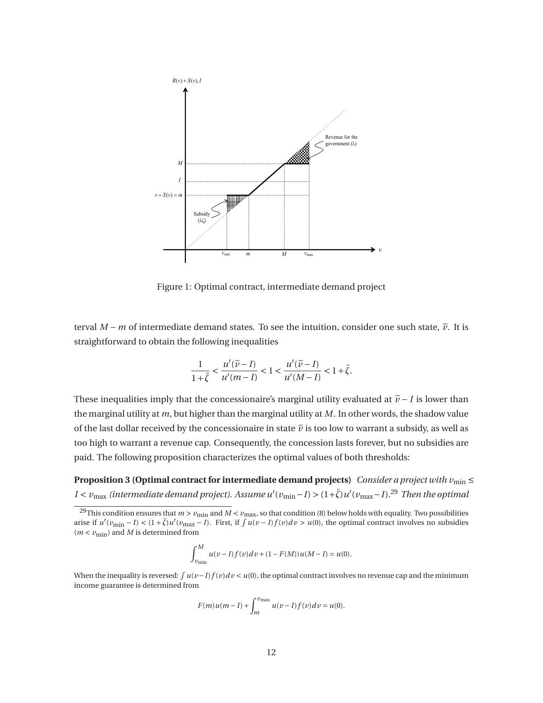

Figure 1: Optimal contract, intermediate demand project

terval *<sup>M</sup>* <sup>−</sup>*<sup>m</sup>* of intermediate demand states. To see the intuition, consider one such state, *<sup>v</sup>*. It is straightforward to obtain the following inequalities

$$
\frac{1}{1+\bar{\zeta}} < \frac{u'(\widetilde{\nu}-I)}{u'(m-I)} < 1 < \frac{u'(\widetilde{\nu}-I)}{u'(M-I)} < 1+\bar{\zeta}.
$$

These inequalities imply that the concessionaire's marginal utility evaluated at *<sup>v</sup>*<sup>−</sup> *<sup>I</sup>* is lower than the marginal utility at *m*, but higher than the marginal utility at *M*. In other words, the shadow value of the last dollar received by the concessionaire in state  $\tilde{v}$  is too low to warrant a subsidy, as well as too high to warrant a revenue cap. Consequently, the concession lasts forever, but no subsidies are paid. The following proposition characterizes the optimal values of both thresholds:

**Proposition 3 (Optimal contract for intermediate demand projects)** *Consider a project with v*<sub>min</sub> ≤  $I < v_{\max}$  *(intermediate demand project). Assume u'* ( $v_{\min}$ −*I*) > (1+ $\bar{\zeta}$ ) $u'(v_{\max}$ −*I*).<sup>29</sup> *Then the optimal* 

$$
\int_{v_{\text{min}}}^{M} u(v - I) f(v) dv + (1 - F(M)) u(M - I) = u(0).
$$

When the inequality is reversed:  $\int u(v-1)f(v)dv < u(0)$ , the optimal contract involves no revenue cap and the minimum income guarantee is determined from

$$
F(m)u(m - I) + \int_{m}^{v_{\text{max}}} u(v - I)f(v) dv = u(0).
$$

<sup>&</sup>lt;sup>29</sup>This condition ensures that  $m > v_{\text{min}}$  and  $M < v_{\text{max}}$ , so that condition (8) below holds with equality. Two possibilities arise if  $u'(v_{\text{min}} - I) < (1 + \bar{\zeta})u'(v_{\text{max}} - I)$ . First, if  $\int u(v - I)f(v)dv > u(0)$ , the optimal contract involves no subsidies  $(m < v_{\text{min}})$  and *M* is determined from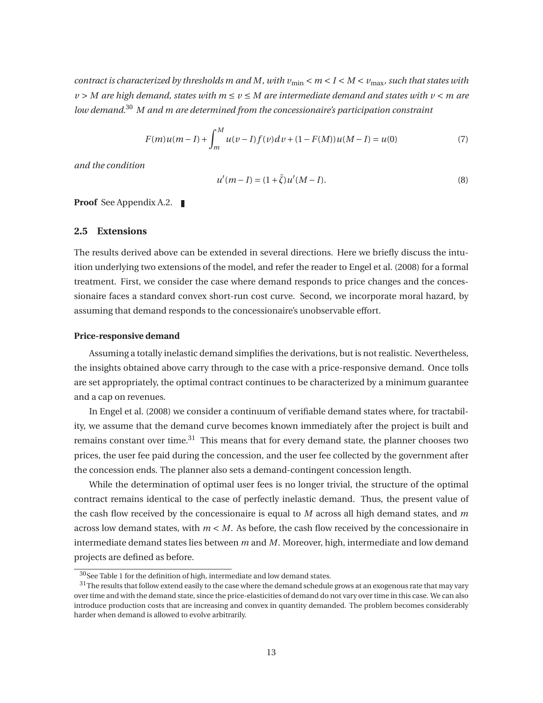*contract is characterized by thresholds m and M, with*  $v_{\text{min}} < m < I < M < v_{\text{max}}$ *, such that states with*  $v > M$  are high demand, states with  $m \le v \le M$  are intermediate demand and states with  $v < m$  are *low demand.*<sup>30</sup> *M and m are determined from the concessionaire's participation constraint*

$$
F(m)u(m - I) + \int_{m}^{M} u(v - I)f(v)dv + (1 - F(M))u(M - I) = u(0)
$$
\n(7)

*and the condition*

$$
u'(m-I) = (1 + \bar{\zeta})u'(M-I).
$$
 (8)

**Proof** See Appendix A.2.

## **2.5 Extensions**

The results derived above can be extended in several directions. Here we briefly discuss the intuition underlying two extensions of the model, and refer the reader to Engel et al. (2008) for a formal treatment. First, we consider the case where demand responds to price changes and the concessionaire faces a standard convex short-run cost curve. Second, we incorporate moral hazard, by assuming that demand responds to the concessionaire's unobservable effort.

### **Price-responsive demand**

Assuming a totally inelastic demand simplifies the derivations, but is not realistic. Nevertheless, the insights obtained above carry through to the case with a price-responsive demand. Once tolls are set appropriately, the optimal contract continues to be characterized by a minimum guarantee and a cap on revenues.

In Engel et al. (2008) we consider a continuum of verifiable demand states where, for tractability, we assume that the demand curve becomes known immediately after the project is built and remains constant over time.<sup>31</sup> This means that for every demand state, the planner chooses two prices, the user fee paid during the concession, and the user fee collected by the government after the concession ends. The planner also sets a demand-contingent concession length.

While the determination of optimal user fees is no longer trivial, the structure of the optimal contract remains identical to the case of perfectly inelastic demand. Thus, the present value of the cash flow received by the concessionaire is equal to *M* across all high demand states, and *m* across low demand states, with *m* < *M*. As before, the cash flow received by the concessionaire in intermediate demand states lies between *m* and *M*. Moreover, high, intermediate and low demand projects are defined as before.

 $^{30}\rm{See}$  Table 1 for the definition of high, intermediate and low demand states.

 $31$ The results that follow extend easily to the case where the demand schedule grows at an exogenous rate that may vary over time and with the demand state, since the price-elasticities of demand do not vary over time in this case. We can also introduce production costs that are increasing and convex in quantity demanded. The problem becomes considerably harder when demand is allowed to evolve arbitrarily.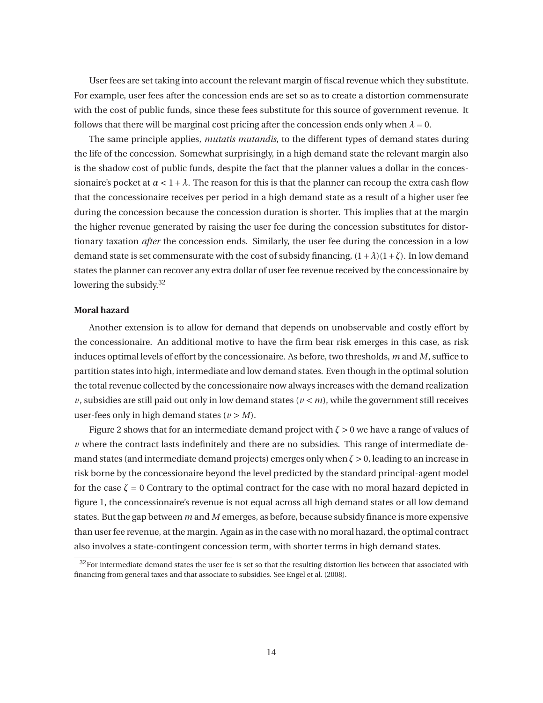User fees are set taking into account the relevant margin of fiscal revenue which they substitute. For example, user fees after the concession ends are set so as to create a distortion commensurate with the cost of public funds, since these fees substitute for this source of government revenue. It follows that there will be marginal cost pricing after the concession ends only when  $\lambda = 0$ .

The same principle applies, *mutatis mutandis*, to the different types of demand states during the life of the concession. Somewhat surprisingly, in a high demand state the relevant margin also is the shadow cost of public funds, despite the fact that the planner values a dollar in the concessionaire's pocket at  $\alpha < 1 + \lambda$ . The reason for this is that the planner can recoup the extra cash flow that the concessionaire receives per period in a high demand state as a result of a higher user fee during the concession because the concession duration is shorter. This implies that at the margin the higher revenue generated by raising the user fee during the concession substitutes for distortionary taxation *after* the concession ends. Similarly, the user fee during the concession in a low demand state is set commensurate with the cost of subsidy financing,  $(1 + \lambda)(1 + \zeta)$ . In low demand states the planner can recover any extra dollar of user fee revenue received by the concessionaire by lowering the subsidy.<sup>32</sup>

### **Moral hazard**

Another extension is to allow for demand that depends on unobservable and costly effort by the concessionaire. An additional motive to have the firm bear risk emerges in this case, as risk induces optimal levels of effort by the concessionaire. As before, two thresholds, *m* and *M*, suffice to partition states into high, intermediate and low demand states. Even though in the optimal solution the total revenue collected by the concessionaire now always increases with the demand realization  $\nu$ , subsidies are still paid out only in low demand states ( $\nu$  <  $m$ ), while the government still receives user-fees only in high demand states  $(v > M)$ .

Figure 2 shows that for an intermediate demand project with *ζ* > 0 we have a range of values of *v* where the contract lasts indefinitely and there are no subsidies. This range of intermediate demand states (and intermediate demand projects) emerges only when  $\zeta > 0$ , leading to an increase in risk borne by the concessionaire beyond the level predicted by the standard principal-agent model for the case  $\zeta = 0$  Contrary to the optimal contract for the case with no moral hazard depicted in figure 1, the concessionaire's revenue is not equal across all high demand states or all low demand states. But the gap between *m* and *M* emerges, as before, because subsidy finance is more expensive than user fee revenue, at the margin. Again as in the case with no moral hazard, the optimal contract also involves a state-contingent concession term, with shorter terms in high demand states.

 $32$  For intermediate demand states the user fee is set so that the resulting distortion lies between that associated with financing from general taxes and that associate to subsidies. See Engel et al. (2008).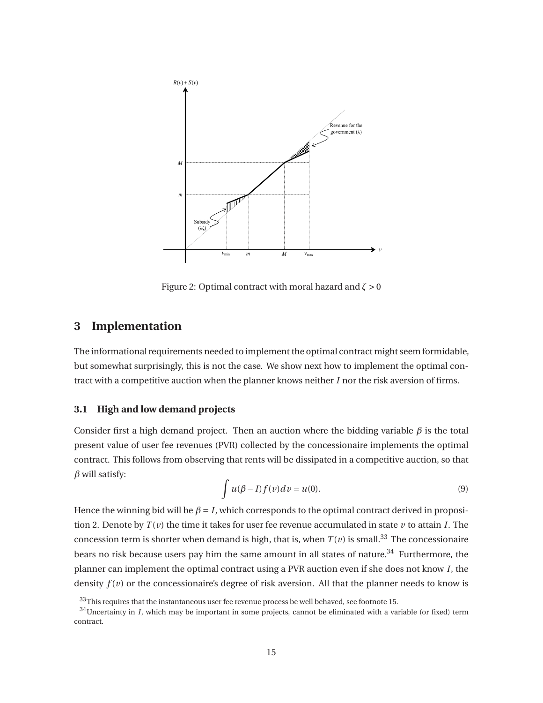

Figure 2: Optimal contract with moral hazard and *ζ* > 0

## **3 Implementation**

The informational requirements needed to implement the optimal contract might seem formidable, but somewhat surprisingly, this is not the case. We show next how to implement the optimal contract with a competitive auction when the planner knows neither *I* nor the risk aversion of firms.

## **3.1 High and low demand projects**

Consider first a high demand project. Then an auction where the bidding variable *β* is the total present value of user fee revenues (PVR) collected by the concessionaire implements the optimal contract. This follows from observing that rents will be dissipated in a competitive auction, so that *β* will satisfy:

$$
\int u(\beta - I) f(v) dv = u(0).
$$
\n(9)

Hence the winning bid will be  $\beta = I$ , which corresponds to the optimal contract derived in proposition 2. Denote by  $T(v)$  the time it takes for user fee revenue accumulated in state  $v$  to attain *I*. The concession term is shorter when demand is high, that is, when  $T(v)$  is small.<sup>33</sup> The concessionaire bears no risk because users pay him the same amount in all states of nature.<sup>34</sup> Furthermore, the planner can implement the optimal contract using a PVR auction even if she does not know *I*, the density  $f(v)$  or the concessionaire's degree of risk aversion. All that the planner needs to know is

<sup>&</sup>lt;sup>33</sup>This requires that the instantaneous user fee revenue process be well behaved, see footnote 15.

<sup>34</sup>Uncertainty in *I*, which may be important in some projects, cannot be eliminated with a variable (or fixed) term contract.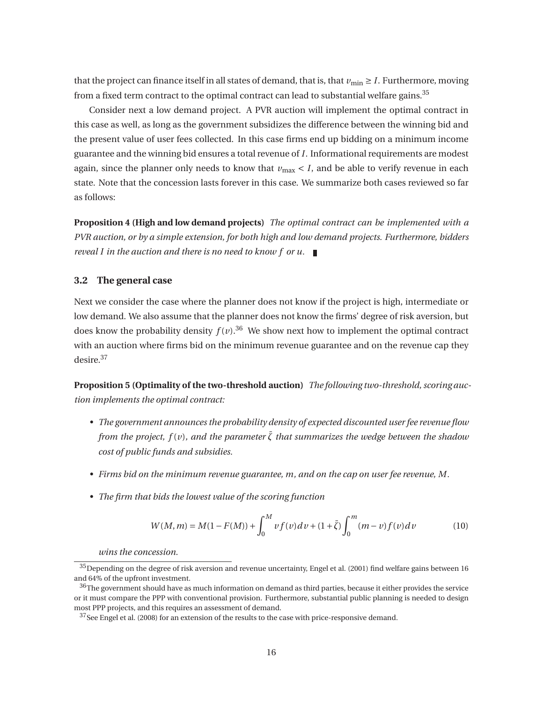that the project can finance itself in all states of demand, that is, that  $v_{\text{min}} \geq I$ . Furthermore, moving from a fixed term contract to the optimal contract can lead to substantial welfare gains.<sup>35</sup>

Consider next a low demand project. A PVR auction will implement the optimal contract in this case as well, as long as the government subsidizes the difference between the winning bid and the present value of user fees collected. In this case firms end up bidding on a minimum income guarantee and the winning bid ensures a total revenue of *I*. Informational requirements are modest again, since the planner only needs to know that  $v_{\text{max}} < I$ , and be able to verify revenue in each state. Note that the concession lasts forever in this case. We summarize both cases reviewed so far as follows:

**Proposition 4 (High and low demand projects)** *The optimal contract can be implemented with a PVR auction, or by a simple extension, for both high and low demand projects. Furthermore, bidders reveal I in the auction and there is no need to know f or u.*

## **3.2 The general case**

Next we consider the case where the planner does not know if the project is high, intermediate or low demand. We also assume that the planner does not know the firms' degree of risk aversion, but does know the probability density  $f(v)$ .<sup>36</sup> We show next how to implement the optimal contract with an auction where firms bid on the minimum revenue guarantee and on the revenue cap they desire.<sup>37</sup>

**Proposition 5 (Optimality of the two-threshold auction)** *The following two-threshold, scoring auction implements the optimal contract:*

- *The government announces the probability density of expected discounted user fee revenue flow from the project, f*(*v*), and the parameter  $\bar{\zeta}$  that summarizes the wedge between the shadow *cost of public funds and subsidies.*
- *Firms bid on the minimum revenue guarantee, m, and on the cap on user fee revenue, M.*
- *The firm that bids the lowest value of the scoring function*

$$
W(M,m) = M(1 - F(M)) + \int_0^M v f(v) dv + (1 + \bar{\zeta}) \int_0^m (m - v) f(v) dv \tag{10}
$$

*wins the concession.*

 $35$ Depending on the degree of risk aversion and revenue uncertainty, Engel et al. (2001) find welfare gains between 16 and 64% of the upfront investment.

 $36$ The government should have as much information on demand as third parties, because it either provides the service or it must compare the PPP with conventional provision. Furthermore, substantial public planning is needed to design most PPP projects, and this requires an assessment of demand.

 $37\,$  See Engel et al. (2008) for an extension of the results to the case with price-responsive demand.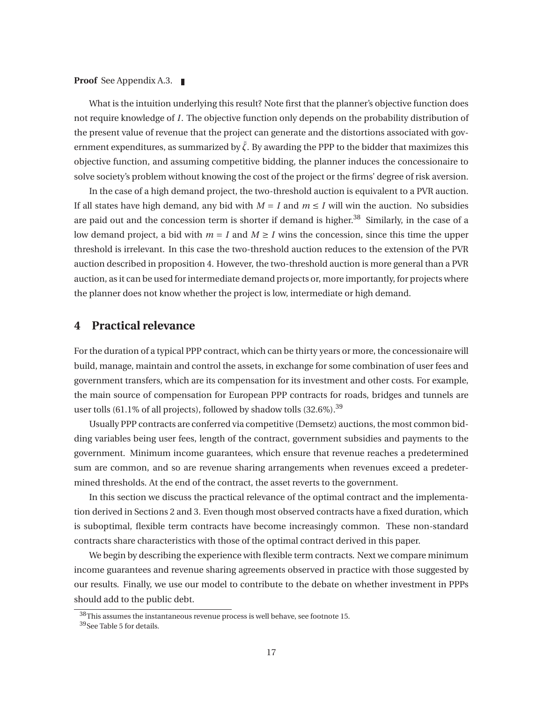**Proof** See Appendix A.3. ■

What is the intuition underlying this result? Note first that the planner's objective function does not require knowledge of *I*. The objective function only depends on the probability distribution of the present value of revenue that the project can generate and the distortions associated with government expenditures, as summarized by  $\bar{\zeta}$ . By awarding the PPP to the bidder that maximizes this objective function, and assuming competitive bidding, the planner induces the concessionaire to solve society's problem without knowing the cost of the project or the firms' degree of risk aversion.

In the case of a high demand project, the two-threshold auction is equivalent to a PVR auction. If all states have high demand, any bid with  $M = I$  and  $m \leq I$  will win the auction. No subsidies are paid out and the concession term is shorter if demand is higher.<sup>38</sup> Similarly, in the case of a low demand project, a bid with  $m = I$  and  $M \geq I$  wins the concession, since this time the upper threshold is irrelevant. In this case the two-threshold auction reduces to the extension of the PVR auction described in proposition 4. However, the two-threshold auction is more general than a PVR auction, as it can be used for intermediate demand projects or, more importantly, for projects where the planner does not know whether the project is low, intermediate or high demand.

## **4 Practical relevance**

For the duration of a typical PPP contract, which can be thirty years or more, the concessionaire will build, manage, maintain and control the assets, in exchange for some combination of user fees and government transfers, which are its compensation for its investment and other costs. For example, the main source of compensation for European PPP contracts for roads, bridges and tunnels are user tolls  $(61.1\% \text{ of all projects})$ , followed by shadow tolls  $(32.6\%).^{39}$ 

Usually PPP contracts are conferred via competitive (Demsetz) auctions, the most common bidding variables being user fees, length of the contract, government subsidies and payments to the government. Minimum income guarantees, which ensure that revenue reaches a predetermined sum are common, and so are revenue sharing arrangements when revenues exceed a predetermined thresholds. At the end of the contract, the asset reverts to the government.

In this section we discuss the practical relevance of the optimal contract and the implementation derived in Sections 2 and 3. Even though most observed contracts have a fixed duration, which is suboptimal, flexible term contracts have become increasingly common. These non-standard contracts share characteristics with those of the optimal contract derived in this paper.

We begin by describing the experience with flexible term contracts. Next we compare minimum income guarantees and revenue sharing agreements observed in practice with those suggested by our results. Finally, we use our model to contribute to the debate on whether investment in PPPs should add to the public debt.

 $^{38}\!$  This assumes the instantaneous revenue process is well behave, see footnote 15.

<sup>39</sup>See Table 5 for details.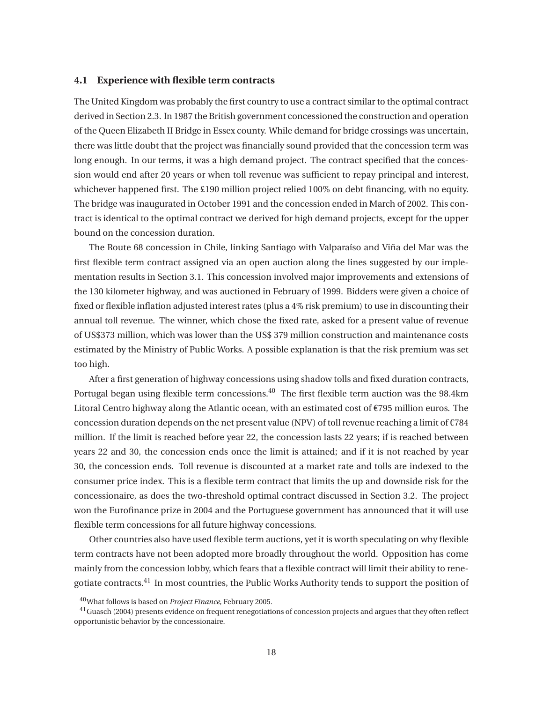### **4.1 Experience with flexible term contracts**

The United Kingdom was probably the first country to use a contract similar to the optimal contract derived in Section 2.3. In 1987 the British government concessioned the construction and operation of the Queen Elizabeth II Bridge in Essex county. While demand for bridge crossings was uncertain, there was little doubt that the project was financially sound provided that the concession term was long enough. In our terms, it was a high demand project. The contract specified that the concession would end after 20 years or when toll revenue was sufficient to repay principal and interest, whichever happened first. The £190 million project relied 100% on debt financing, with no equity. The bridge was inaugurated in October 1991 and the concession ended in March of 2002. This contract is identical to the optimal contract we derived for high demand projects, except for the upper bound on the concession duration.

The Route 68 concession in Chile, linking Santiago with Valparaíso and Viña del Mar was the first flexible term contract assigned via an open auction along the lines suggested by our implementation results in Section 3.1. This concession involved major improvements and extensions of the 130 kilometer highway, and was auctioned in February of 1999. Bidders were given a choice of fixed or flexible inflation adjusted interest rates (plus a 4% risk premium) to use in discounting their annual toll revenue. The winner, which chose the fixed rate, asked for a present value of revenue of US\$373 million, which was lower than the US\$ 379 million construction and maintenance costs estimated by the Ministry of Public Works. A possible explanation is that the risk premium was set too high.

After a first generation of highway concessions using shadow tolls and fixed duration contracts, Portugal began using flexible term concessions.<sup>40</sup> The first flexible term auction was the 98.4km Litoral Centro highway along the Atlantic ocean, with an estimated cost of  $\epsilon$ 795 million euros. The concession duration depends on the net present value (NPV) of toll revenue reaching a limit of  $\epsilon$ 784 million. If the limit is reached before year 22, the concession lasts 22 years; if is reached between years 22 and 30, the concession ends once the limit is attained; and if it is not reached by year 30, the concession ends. Toll revenue is discounted at a market rate and tolls are indexed to the consumer price index. This is a flexible term contract that limits the up and downside risk for the concessionaire, as does the two-threshold optimal contract discussed in Section 3.2. The project won the Eurofinance prize in 2004 and the Portuguese government has announced that it will use flexible term concessions for all future highway concessions.

Other countries also have used flexible term auctions, yet it is worth speculating on why flexible term contracts have not been adopted more broadly throughout the world. Opposition has come mainly from the concession lobby, which fears that a flexible contract will limit their ability to renegotiate contracts.41 In most countries, the Public Works Authority tends to support the position of

<sup>40</sup>What follows is based on *Project Finance*, February 2005.

<sup>&</sup>lt;sup>41</sup> Guasch (2004) presents evidence on frequent renegotiations of concession projects and argues that they often reflect opportunistic behavior by the concessionaire.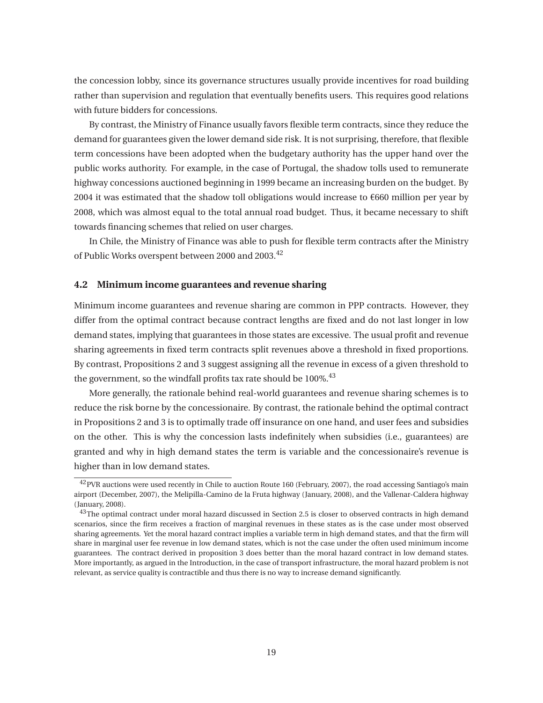the concession lobby, since its governance structures usually provide incentives for road building rather than supervision and regulation that eventually benefits users. This requires good relations with future bidders for concessions.

By contrast, the Ministry of Finance usually favors flexible term contracts, since they reduce the demand for guarantees given the lower demand side risk. It is not surprising, therefore, that flexible term concessions have been adopted when the budgetary authority has the upper hand over the public works authority. For example, in the case of Portugal, the shadow tolls used to remunerate highway concessions auctioned beginning in 1999 became an increasing burden on the budget. By 2004 it was estimated that the shadow toll obligations would increase to €660 million per year by 2008, which was almost equal to the total annual road budget. Thus, it became necessary to shift towards financing schemes that relied on user charges.

In Chile, the Ministry of Finance was able to push for flexible term contracts after the Ministry of Public Works overspent between 2000 and 2003.<sup>42</sup>

### **4.2 Minimum income guarantees and revenue sharing**

Minimum income guarantees and revenue sharing are common in PPP contracts. However, they differ from the optimal contract because contract lengths are fixed and do not last longer in low demand states, implying that guarantees in those states are excessive. The usual profit and revenue sharing agreements in fixed term contracts split revenues above a threshold in fixed proportions. By contrast, Propositions 2 and 3 suggest assigning all the revenue in excess of a given threshold to the government, so the windfall profits tax rate should be  $100\%$ <sup>43</sup>

More generally, the rationale behind real-world guarantees and revenue sharing schemes is to reduce the risk borne by the concessionaire. By contrast, the rationale behind the optimal contract in Propositions 2 and 3 is to optimally trade off insurance on one hand, and user fees and subsidies on the other. This is why the concession lasts indefinitely when subsidies (i.e., guarantees) are granted and why in high demand states the term is variable and the concessionaire's revenue is higher than in low demand states.

<sup>&</sup>lt;sup>42</sup>PVR auctions were used recently in Chile to auction Route 160 (February, 2007), the road accessing Santiago's main airport (December, 2007), the Melipilla-Camino de la Fruta highway (January, 2008), and the Vallenar-Caldera highway (January, 2008).

 $^{43}$ The optimal contract under moral hazard discussed in Section 2.5 is closer to observed contracts in high demand scenarios, since the firm receives a fraction of marginal revenues in these states as is the case under most observed sharing agreements. Yet the moral hazard contract implies a variable term in high demand states, and that the firm will share in marginal user fee revenue in low demand states, which is not the case under the often used minimum income guarantees. The contract derived in proposition 3 does better than the moral hazard contract in low demand states. More importantly, as argued in the Introduction, in the case of transport infrastructure, the moral hazard problem is not relevant, as service quality is contractible and thus there is no way to increase demand significantly.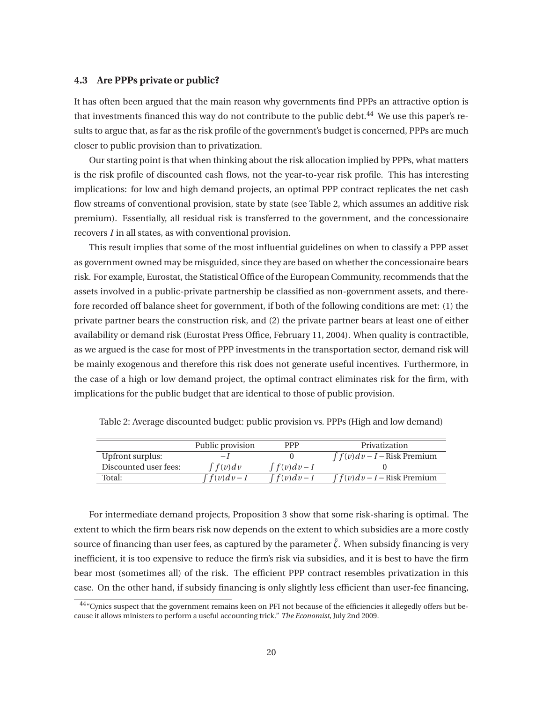#### **4.3 Are PPPs private or public?**

It has often been argued that the main reason why governments find PPPs an attractive option is that investments financed this way do not contribute to the public debt.<sup>44</sup> We use this paper's results to argue that, as far as the risk profile of the government's budget is concerned, PPPs are much closer to public provision than to privatization.

Our starting point is that when thinking about the risk allocation implied by PPPs, what matters is the risk profile of discounted cash flows, not the year-to-year risk profile. This has interesting implications: for low and high demand projects, an optimal PPP contract replicates the net cash flow streams of conventional provision, state by state (see Table 2, which assumes an additive risk premium). Essentially, all residual risk is transferred to the government, and the concessionaire recovers *I* in all states, as with conventional provision.

This result implies that some of the most influential guidelines on when to classify a PPP asset as government owned may be misguided, since they are based on whether the concessionaire bears risk. For example, Eurostat, the Statistical Office of the European Community, recommends that the assets involved in a public-private partnership be classified as non-government assets, and therefore recorded off balance sheet for government, if both of the following conditions are met: (1) the private partner bears the construction risk, and (2) the private partner bears at least one of either availability or demand risk (Eurostat Press Office, February 11, 2004). When quality is contractible, as we argued is the case for most of PPP investments in the transportation sector, demand risk will be mainly exogenous and therefore this risk does not generate useful incentives. Furthermore, in the case of a high or low demand project, the optimal contract eliminates risk for the firm, with implications for the public budget that are identical to those of public provision.

|                       | Public provision   | <b>PPP</b>      | Privatization                     |
|-----------------------|--------------------|-----------------|-----------------------------------|
| Upfront surplus:      | $-I$               |                 | $\int f(v) dv - I$ – Risk Premium |
| Discounted user fees: | $\int f(v)dv$      | $\int f(v)dv-I$ |                                   |
| Total:                | $\int f(v) dv - I$ | $\int f(v)dv-I$ | $\int f(v) dv - I$ – Risk Premium |

Table 2: Average discounted budget: public provision vs. PPPs (High and low demand)

For intermediate demand projects, Proposition 3 show that some risk-sharing is optimal. The extent to which the firm bears risk now depends on the extent to which subsidies are a more costly source of financing than user fees, as captured by the parameter  $\bar{\zeta}$ . When subsidy financing is very inefficient, it is too expensive to reduce the firm's risk via subsidies, and it is best to have the firm bear most (sometimes all) of the risk. The efficient PPP contract resembles privatization in this case. On the other hand, if subsidy financing is only slightly less efficient than user-fee financing,

<sup>44&</sup>quot;Cynics suspect that the government remains keen on PFI not because of the efficiencies it allegedly offers but because it allows ministers to perform a useful accounting trick." *The Economist*, July 2nd 2009.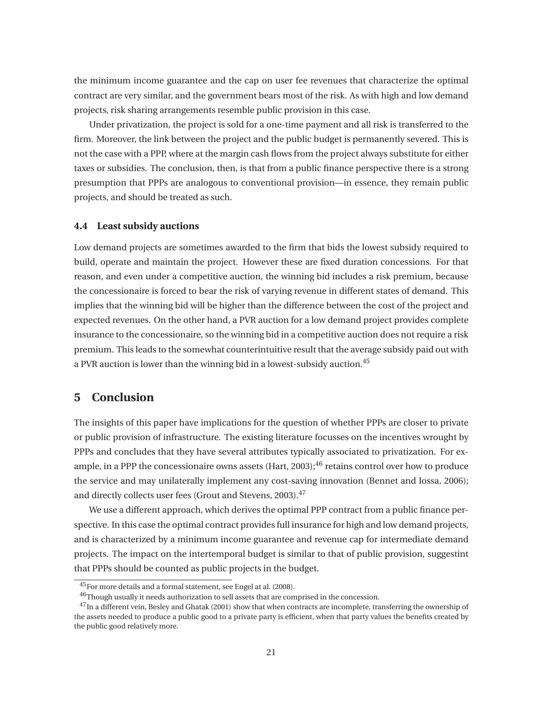the minimum income guarantee and the cap on user fee revenues that characterize the optimal contract are very similar, and the government bears most of the risk. As with high and low demand projects, risk sharing arrangements resemble public provision in this case.

Under privatization, the project is sold for a one-time payment and all risk is transferred to the firm. Moreover, the link between the project and the public budget is permanently severed. This is not the case with a PPP, where at the margin cash flows from the project always substitute for either taxes or subsidies. The conclusion, then, is that from a public finance perspective there is a strong presumption that PPPs are analogous to conventional provision—in essence, they remain public projects, and should be treated as such.

## **4.4 Least subsidy auctions**

Low demand projects are sometimes awarded to the firm that bids the lowest subsidy required to build, operate and maintain the project. However these are fixed duration concessions. For that reason, and even under a competitive auction, the winning bid includes a risk premium, because the concessionaire is forced to bear the risk of varying revenue in different states of demand. This implies that the winning bid will be higher than the difference between the cost of the project and expected revenues. On the other hand, a PVR auction for a low demand project provides complete insurance to the concessionaire, so the winning bid in a competitive auction does not require a risk premium. This leads to the somewhat counterintuitive result that the average subsidy paid out with a PVR auction is lower than the winning bid in a lowest-subsidy auction.<sup>45</sup>

# **5 Conclusion**

The insights of this paper have implications for the question of whether PPPs are closer to private or public provision of infrastructure. The existing literature focusses on the incentives wrought by PPPs and concludes that they have several attributes typically associated to privatization. For example, in a PPP the concessionaire owns assets (Hart, 2003);<sup>46</sup> retains control over how to produce the service and may unilaterally implement any cost-saving innovation (Bennet and Iossa, 2006); and directly collects user fees (Grout and Stevens, 2003).<sup>47</sup>

We use a different approach, which derives the optimal PPP contract from a public finance perspective. In this case the optimal contract provides full insurance for high and low demand projects, and is characterized by a minimum income guarantee and revenue cap for intermediate demand projects. The impact on the intertemporal budget is similar to that of public provision, suggestint that PPPs should be counted as public projects in the budget.

 $\overline{{}^{45}$  For more details and a formal statement, see Engel at al. (2008).

 $^{46}\!$  Though usually it needs authorization to sell assets that are comprised in the concession.

<sup>&</sup>lt;sup>47</sup>In a different vein, Besley and Ghatak (2001) show that when contracts are incomplete, transferring the ownership of the assets needed to produce a public good to a private party is efficient, when that party values the benefits created by the public good relatively more.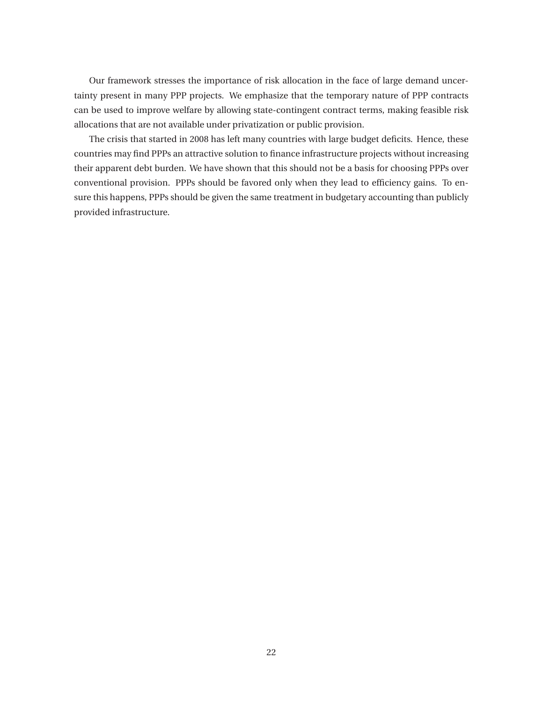Our framework stresses the importance of risk allocation in the face of large demand uncertainty present in many PPP projects. We emphasize that the temporary nature of PPP contracts can be used to improve welfare by allowing state-contingent contract terms, making feasible risk allocations that are not available under privatization or public provision.

The crisis that started in 2008 has left many countries with large budget deficits. Hence, these countries may find PPPs an attractive solution to finance infrastructure projects without increasing their apparent debt burden. We have shown that this should not be a basis for choosing PPPs over conventional provision. PPPs should be favored only when they lead to efficiency gains. To ensure this happens, PPPs should be given the same treatment in budgetary accounting than publicly provided infrastructure.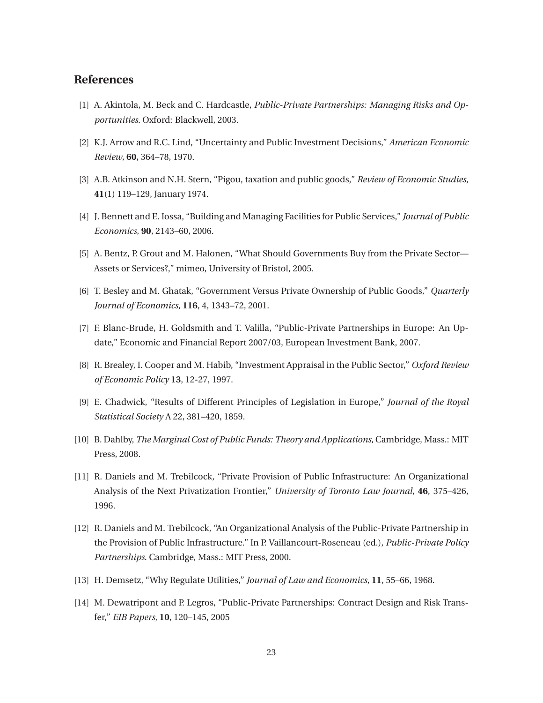## **References**

- [1] A. Akintola, M. Beck and C. Hardcastle, *Public-Private Partnerships: Managing Risks and Opportunities*. Oxford: Blackwell, 2003.
- [2] K.J. Arrow and R.C. Lind, "Uncertainty and Public Investment Decisions," *American Economic Review*, **60**, 364–78, 1970.
- [3] A.B. Atkinson and N.H. Stern, "Pigou, taxation and public goods," *Review of Economic Studies*, **41**(1) 119–129, January 1974.
- [4] J. Bennett and E. Iossa, "Building and Managing Facilities for Public Services," *Journal of Public Economics*, **90**, 2143–60, 2006.
- [5] A. Bentz, P. Grout and M. Halonen, "What Should Governments Buy from the Private Sector— Assets or Services?," mimeo, University of Bristol, 2005.
- [6] T. Besley and M. Ghatak, "Government Versus Private Ownership of Public Goods," *Quarterly Journal of Economics*, **116**, 4, 1343–72, 2001.
- [7] F. Blanc-Brude, H. Goldsmith and T. Valilla, "Public-Private Partnerships in Europe: An Update," Economic and Financial Report 2007/03, European Investment Bank, 2007.
- [8] R. Brealey, I. Cooper and M. Habib, "Investment Appraisal in the Public Sector," *Oxford Review of Economic Policy* **13**, 12-27, 1997.
- [9] E. Chadwick, "Results of Different Principles of Legislation in Europe," *Journal of the Royal Statistical Society* A 22, 381–420, 1859.
- [10] B. Dahlby, *The Marginal Cost of Public Funds: Theory and Applications*, Cambridge, Mass.: MIT Press, 2008.
- [11] R. Daniels and M. Trebilcock, "Private Provision of Public Infrastructure: An Organizational Analysis of the Next Privatization Frontier," *University of Toronto Law Journal*, **46**, 375–426, 1996.
- [12] R. Daniels and M. Trebilcock, "An Organizational Analysis of the Public-Private Partnership in the Provision of Public Infrastructure." In P. Vaillancourt-Roseneau (ed.), *Public-Private Policy Partnerships*. Cambridge, Mass.: MIT Press, 2000.
- [13] H. Demsetz, "Why Regulate Utilities," *Journal of Law and Economics*, **11**, 55–66, 1968.
- [14] M. Dewatripont and P. Legros, "Public-Private Partnerships: Contract Design and Risk Transfer," *EIB Papers*, **10**, 120–145, 2005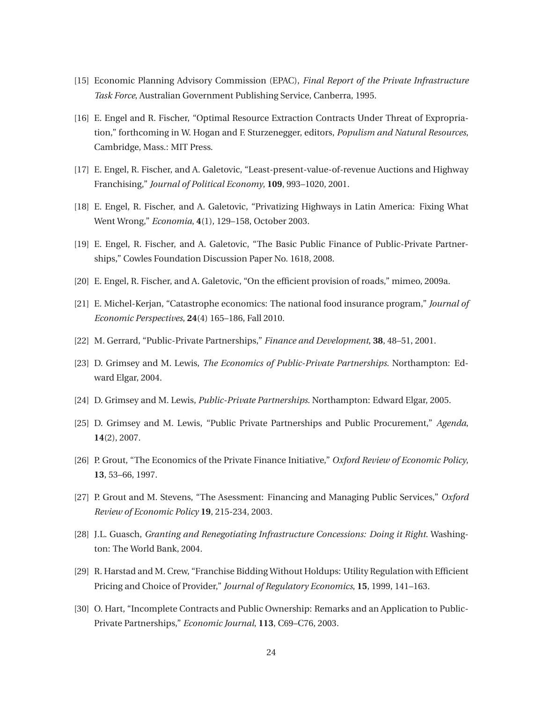- [15] Economic Planning Advisory Commission (EPAC), *Final Report of the Private Infrastructure Task Force*, Australian Government Publishing Service, Canberra, 1995.
- [16] E. Engel and R. Fischer, "Optimal Resource Extraction Contracts Under Threat of Expropriation," forthcoming in W. Hogan and F. Sturzenegger, editors, *Populism and Natural Resources*, Cambridge, Mass.: MIT Press.
- [17] E. Engel, R. Fischer, and A. Galetovic, "Least-present-value-of-revenue Auctions and Highway Franchising," *Journal of Political Economy*, **109**, 993–1020, 2001.
- [18] E. Engel, R. Fischer, and A. Galetovic, "Privatizing Highways in Latin America: Fixing What Went Wrong," *Economia*, **4**(1), 129–158, October 2003.
- [19] E. Engel, R. Fischer, and A. Galetovic, "The Basic Public Finance of Public-Private Partnerships," Cowles Foundation Discussion Paper No. 1618, 2008.
- [20] E. Engel, R. Fischer, and A. Galetovic, "On the efficient provision of roads," mimeo, 2009a.
- [21] E. Michel-Kerjan, "Catastrophe economics: The national food insurance program," *Journal of Economic Perspectives*, **24**(4) 165–186, Fall 2010.
- [22] M. Gerrard, "Public-Private Partnerships," *Finance and Development*, **38**, 48–51, 2001.
- [23] D. Grimsey and M. Lewis, *The Economics of Public-Private Partnerships*. Northampton: Edward Elgar, 2004.
- [24] D. Grimsey and M. Lewis, *Public-Private Partnerships*. Northampton: Edward Elgar, 2005.
- [25] D. Grimsey and M. Lewis, "Public Private Partnerships and Public Procurement," *Agenda*, **14**(2), 2007.
- [26] P. Grout, "The Economics of the Private Finance Initiative," *Oxford Review of Economic Policy*, **13**, 53–66, 1997.
- [27] P. Grout and M. Stevens, "The Asessment: Financing and Managing Public Services," *Oxford Review of Economic Policy* **19**, 215-234, 2003.
- [28] J.L. Guasch, *Granting and Renegotiating Infrastructure Concessions: Doing it Right*. Washington: The World Bank, 2004.
- [29] R. Harstad and M. Crew, "Franchise Bidding Without Holdups: Utility Regulation with Efficient Pricing and Choice of Provider," *Journal of Regulatory Economics*, **15**, 1999, 141–163.
- [30] O. Hart, "Incomplete Contracts and Public Ownership: Remarks and an Application to Public-Private Partnerships," *Economic Journal*, **113**, C69–C76, 2003.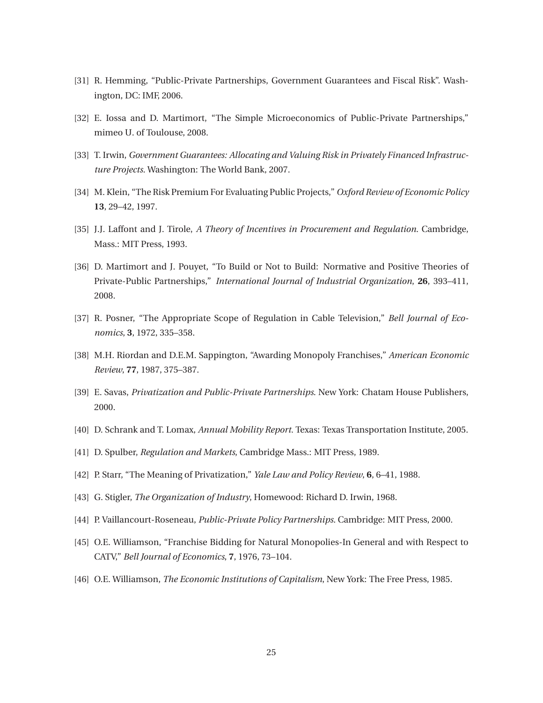- [31] R. Hemming, "Public-Private Partnerships, Government Guarantees and Fiscal Risk". Washington, DC: IMF, 2006.
- [32] E. Iossa and D. Martimort, "The Simple Microeconomics of Public-Private Partnerships," mimeo U. of Toulouse, 2008.
- [33] T. Irwin, *Government Guarantees: Allocating and Valuing Risk in Privately Financed Infrastructure Projects*. Washington: The World Bank, 2007.
- [34] M. Klein, "The Risk Premium For Evaluating Public Projects," *Oxford Review of Economic Policy* **13**, 29–42, 1997.
- [35] J.J. Laffont and J. Tirole, *A Theory of Incentives in Procurement and Regulation*. Cambridge, Mass.: MIT Press, 1993.
- [36] D. Martimort and J. Pouyet, "To Build or Not to Build: Normative and Positive Theories of Private-Public Partnerships," *International Journal of Industrial Organization*, **26**, 393–411, 2008.
- [37] R. Posner, "The Appropriate Scope of Regulation in Cable Television," *Bell Journal of Economics*, **3**, 1972, 335–358.
- [38] M.H. Riordan and D.E.M. Sappington, "Awarding Monopoly Franchises," *American Economic Review*, **77**, 1987, 375–387.
- [39] E. Savas, *Privatization and Public-Private Partnerships*. New York: Chatam House Publishers, 2000.
- [40] D. Schrank and T. Lomax, *Annual Mobility Report.* Texas: Texas Transportation Institute, 2005.
- [41] D. Spulber, *Regulation and Markets*, Cambridge Mass.: MIT Press, 1989.
- [42] P. Starr, "The Meaning of Privatization," *Yale Law and Policy Review*, **6**, 6–41, 1988.
- [43] G. Stigler, *The Organization of Industry*, Homewood: Richard D. Irwin, 1968.
- [44] P. Vaillancourt-Roseneau, *Public-Private Policy Partnerships*. Cambridge: MIT Press, 2000.
- [45] O.E. Williamson, "Franchise Bidding for Natural Monopolies-In General and with Respect to CATV," *Bell Journal of Economics*, **7**, 1976, 73–104.
- [46] O.E. Williamson, *The Economic Institutions of Capitalism*, New York: The Free Press, 1985.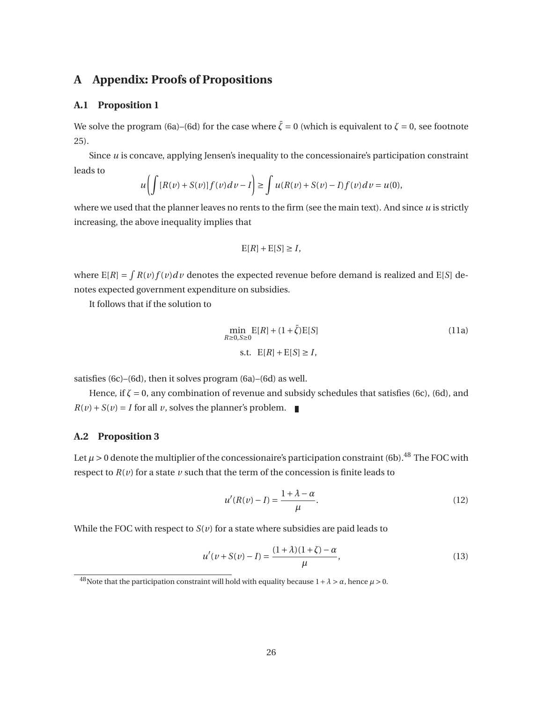# **A Appendix: Proofs of Propositions**

### **A.1 Proposition 1**

We solve the program (6a)–(6d) for the case where  $\bar{\zeta} = 0$  (which is equivalent to  $\zeta = 0$ , see footnote 25).

Since *u* is concave, applying Jensen's inequality to the concessionaire's participation constraint leads to

$$
u\biggl(\int [R(v)+S(v)]f(v)dv - I\biggr) \ge \int u(R(v)+S(v)-I)f(v)dv = u(0),
$$

where we used that the planner leaves no rents to the firm (see the main text). And since *u* is strictly increasing, the above inequality implies that

$$
\mathbb{E}[R] + \mathbb{E}[S] \ge I,
$$

where  $E[R] = \int R(v) f(v) dv$  denotes the expected revenue before demand is realized and  $E[S]$  denotes expected government expenditure on subsidies.

It follows that if the solution to

$$
\min_{R \ge 0, S \ge 0} E[R] + (1 + \bar{\zeta})E[S] \tag{11a}
$$
\n
$$
\text{s.t. } E[R] + E[S] \ge I,
$$

satisfies (6c)–(6d), then it solves program (6a)–(6d) as well.

Hence, if  $\zeta = 0$ , any combination of revenue and subsidy schedules that satisfies (6c), (6d), and  $R(v) + S(v) = I$  for all *v*, solves the planner's problem.

## **A.2 Proposition 3**

Let  $\mu$  > 0 denote the multiplier of the concessionaire's participation constraint (6b).<sup>48</sup> The FOC with respect to  $R(v)$  for a state  $v$  such that the term of the concession is finite leads to

$$
u'(R(v) - I) = \frac{1 + \lambda - \alpha}{\mu}.
$$
\n(12)

While the FOC with respect to  $S(v)$  for a state where subsidies are paid leads to

$$
u'(v + S(v) - I) = \frac{(1 + \lambda)(1 + \zeta) - \alpha}{\mu},
$$
\n(13)

<sup>&</sup>lt;sup>48</sup>Note that the participation constraint will hold with equality because  $1 + \lambda > \alpha$ , hence  $\mu > 0$ .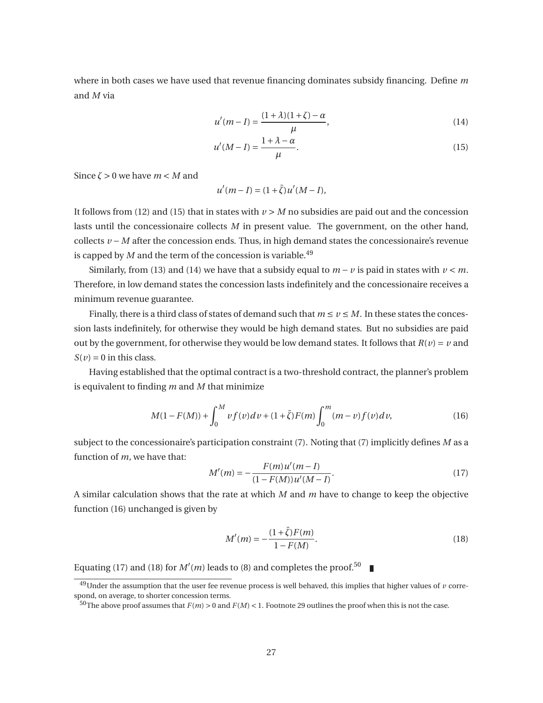where in both cases we have used that revenue financing dominates subsidy financing. Define *m* and *M* via

$$
u'(m-1) = \frac{(1+\lambda)(1+\zeta) - \alpha}{\mu},
$$
\n(14)

$$
u'(M - I) = \frac{1 + \lambda - \alpha}{\mu}.
$$
\n(15)

Since  $\zeta > 0$  we have  $m < M$  and

$$
u'(m-I) = (1+\bar{\zeta})u'(M-I),
$$

It follows from (12) and (15) that in states with  $\nu > M$  no subsidies are paid out and the concession lasts until the concessionaire collects *M* in present value. The government, on the other hand, collects *v* − *M* after the concession ends. Thus, in high demand states the concessionaire's revenue is capped by  $M$  and the term of the concession is variable.<sup>49</sup>

Similarly, from (13) and (14) we have that a subsidy equal to  $m - v$  is paid in states with  $v < m$ . Therefore, in low demand states the concession lasts indefinitely and the concessionaire receives a minimum revenue guarantee.

Finally, there is a third class of states of demand such that  $m \le v \le M$ . In these states the concession lasts indefinitely, for otherwise they would be high demand states. But no subsidies are paid out by the government, for otherwise they would be low demand states. It follows that  $R(v) = v$  and  $S(v) = 0$  in this class.

Having established that the optimal contract is a two-threshold contract, the planner's problem is equivalent to finding *m* and *M* that minimize

$$
M(1 - F(M)) + \int_0^M v f(v) dv + (1 + \bar{\zeta}) F(m) \int_0^m (m - v) f(v) dv,
$$
\n(16)

subject to the concessionaire's participation constraint (7). Noting that (7) implicitly defines *M* as a function of *m*, we have that:

$$
M'(m) = -\frac{F(m)u'(m-1)}{(1 - F(M))u'(M - 1)}.
$$
\n(17)

A similar calculation shows that the rate at which *M* and *m* have to change to keep the objective function (16) unchanged is given by

$$
M'(m) = -\frac{(1+\bar{\zeta})F(m)}{1-F(M)}.
$$
\n(18)

Equating (17) and (18) for  $M'(m)$  leads to (8) and completes the proof.<sup>50</sup>

 $49$ Under the assumption that the user fee revenue process is well behaved, this implies that higher values of  $\nu$  correspond, on average, to shorter concession terms.

 $\frac{1}{50}$ The above proof assumes that  $F(m) > 0$  and  $F(M) < 1$ . Footnote 29 outlines the proof when this is not the case.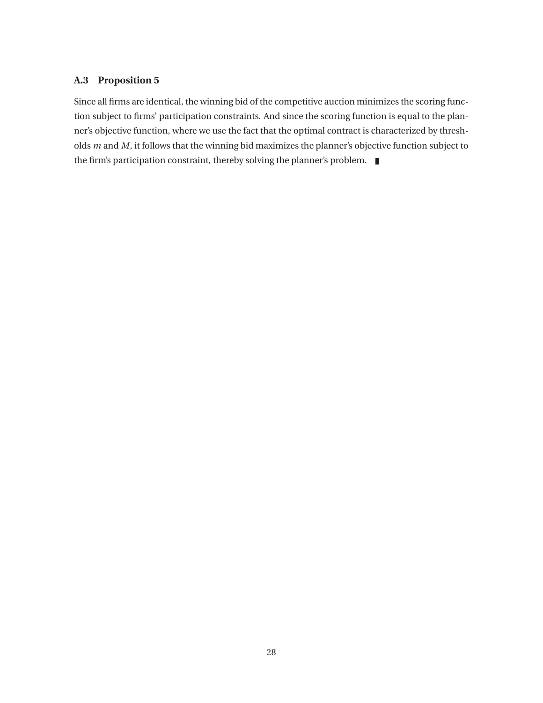## **A.3 Proposition 5**

Since all firms are identical, the winning bid of the competitive auction minimizes the scoring function subject to firms' participation constraints. And since the scoring function is equal to the planner's objective function, where we use the fact that the optimal contract is characterized by thresholds *m* and *M*, it follows that the winning bid maximizes the planner's objective function subject to the firm's participation constraint, thereby solving the planner's problem.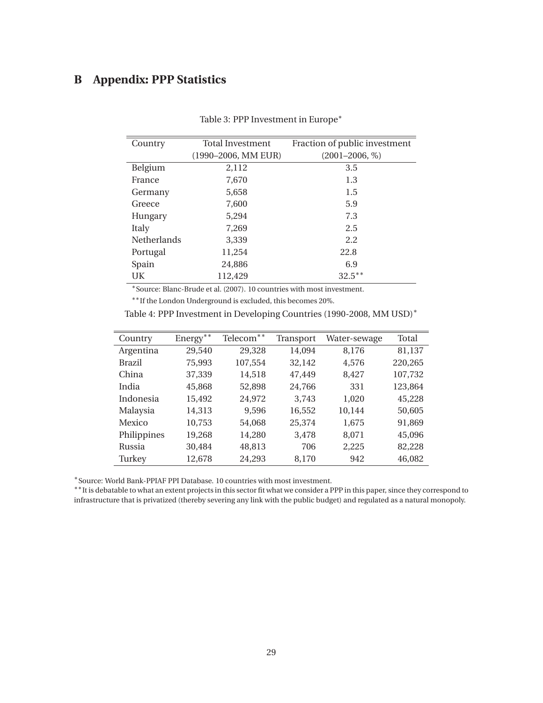# **B Appendix: PPP Statistics**

| Country            | Total Investment    | Fraction of public investment |
|--------------------|---------------------|-------------------------------|
|                    | (1990–2006, MM EUR) | $(2001 - 2006, %)$            |
| Belgium            | 2,112               | 3.5                           |
| France             | 7,670               | 1.3                           |
| Germany            | 5,658               | 1.5                           |
| Greece             | 7,600               | 5.9                           |
| Hungary            | 5,294               | 7.3                           |
| Italy              | 7,269               | 2.5                           |
| <b>Netherlands</b> | 3,339               | 2.2                           |
| Portugal           | 11,254              | 22.8                          |
| Spain              | 24,886              | 6.9                           |
| UK                 | 112,429             | $32.5***$                     |

Table 3: PPP Investment in Europe∗

∗Source: Blanc-Brude et al. (2007). 10 countries with most investment.

∗∗If the London Underground is excluded, this becomes 20%.

Table 4: PPP Investment in Developing Countries (1990-2008, MM USD)∗

| Country       | $Energy**$ | Telecom** | <b>Transport</b> | Water-sewage | Total   |
|---------------|------------|-----------|------------------|--------------|---------|
| Argentina     | 29,540     | 29,328    | 14,094           | 8,176        | 81,137  |
| <b>Brazil</b> | 75,993     | 107,554   | 32,142           | 4,576        | 220,265 |
| China         | 37,339     | 14,518    | 47,449           | 8,427        | 107,732 |
| India         | 45,868     | 52,898    | 24,766           | 331          | 123,864 |
| Indonesia     | 15,492     | 24,972    | 3,743            | 1,020        | 45,228  |
| Malaysia      | 14,313     | 9,596     | 16,552           | 10,144       | 50,605  |
| Mexico        | 10,753     | 54,068    | 25,374           | 1,675        | 91,869  |
| Philippines   | 19,268     | 14,280    | 3,478            | 8,071        | 45,096  |
| Russia        | 30,484     | 48,813    | 706              | 2,225        | 82,228  |
| Turkey        | 12,678     | 24,293    | 8,170            | 942          | 46,082  |

∗Source: World Bank-PPIAF PPI Database. 10 countries with most investment.

∗∗It is debatable to what an extent projects in this sector fit what we consider a PPP in this paper, since they correspond to infrastructure that is privatized (thereby severing any link with the public budget) and regulated as a natural monopoly.